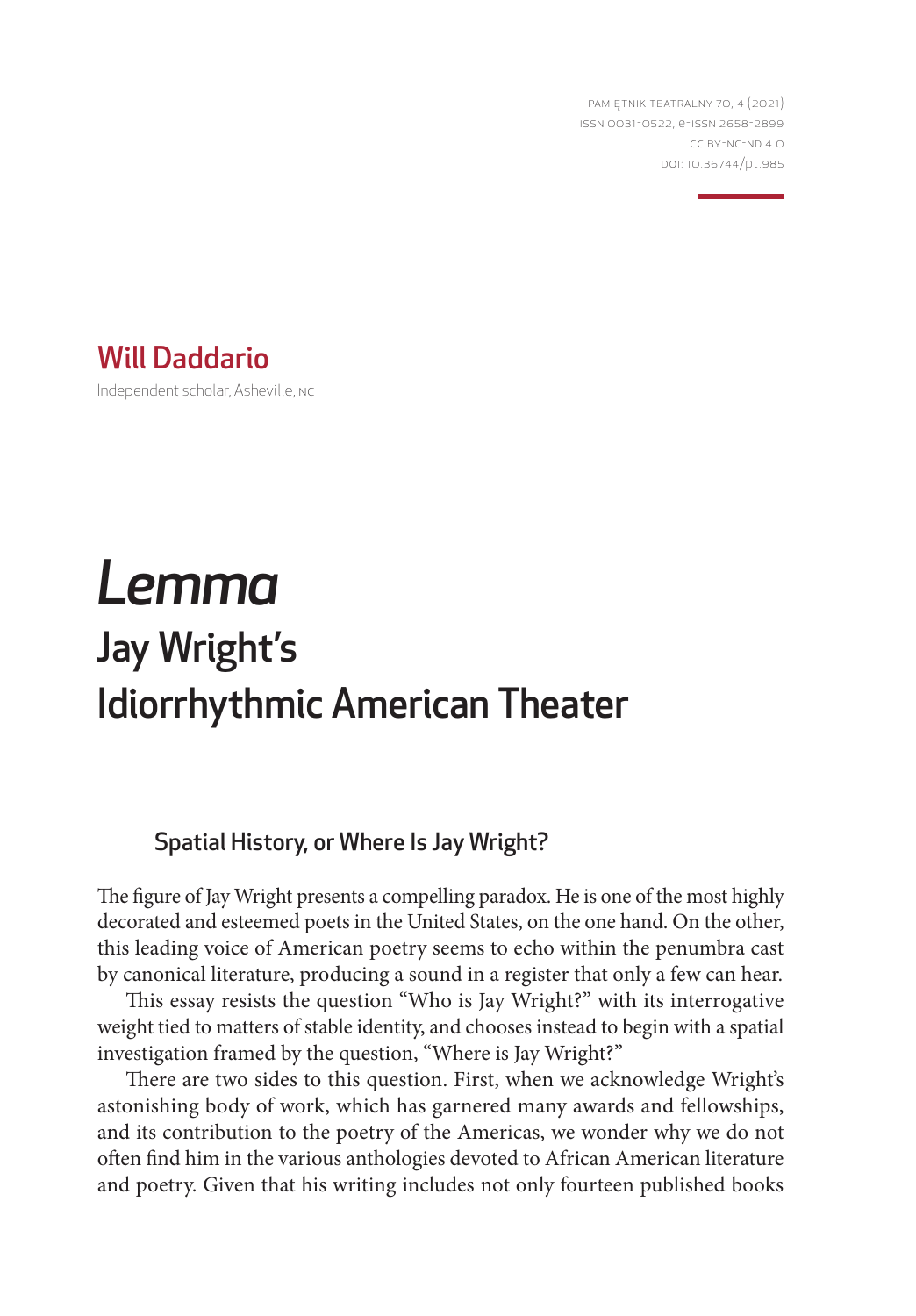PAMIĘTNIK TEATRALNY 70, 4 (2021) ISSN 0031-0522, e-ISSN 2658-2899 CC BY-NC-ND 4.0 DOI: 10.36744/pt.985

Will Daddario Independent scholar, Asheville, NC

# *Lemma* Jay Wright's Idiorrhythmic American Theater

# Spatial History, or Where Is Jay Wright?

The figure of Jay Wright presents a compelling paradox. He is one of the most highly decorated and esteemed poets in the United States, on the one hand. On the other, this leading voice of American poetry seems to echo within the penumbra cast by canonical literature, producing a sound in a register that only a few can hear.

This essay resists the question "Who is Jay Wright?" with its interrogative weight tied to matters of stable identity, and chooses instead to begin with a spatial investigation framed by the question, "Where is Jay Wright?"

There are two sides to this question. First, when we acknowledge Wright's astonishing body of work, which has garnered many awards and fellowships, and its contribution to the poetry of the Americas, we wonder why we do not often find him in the various anthologies devoted to African American literature and poetry. Given that his writing includes not only fourteen published books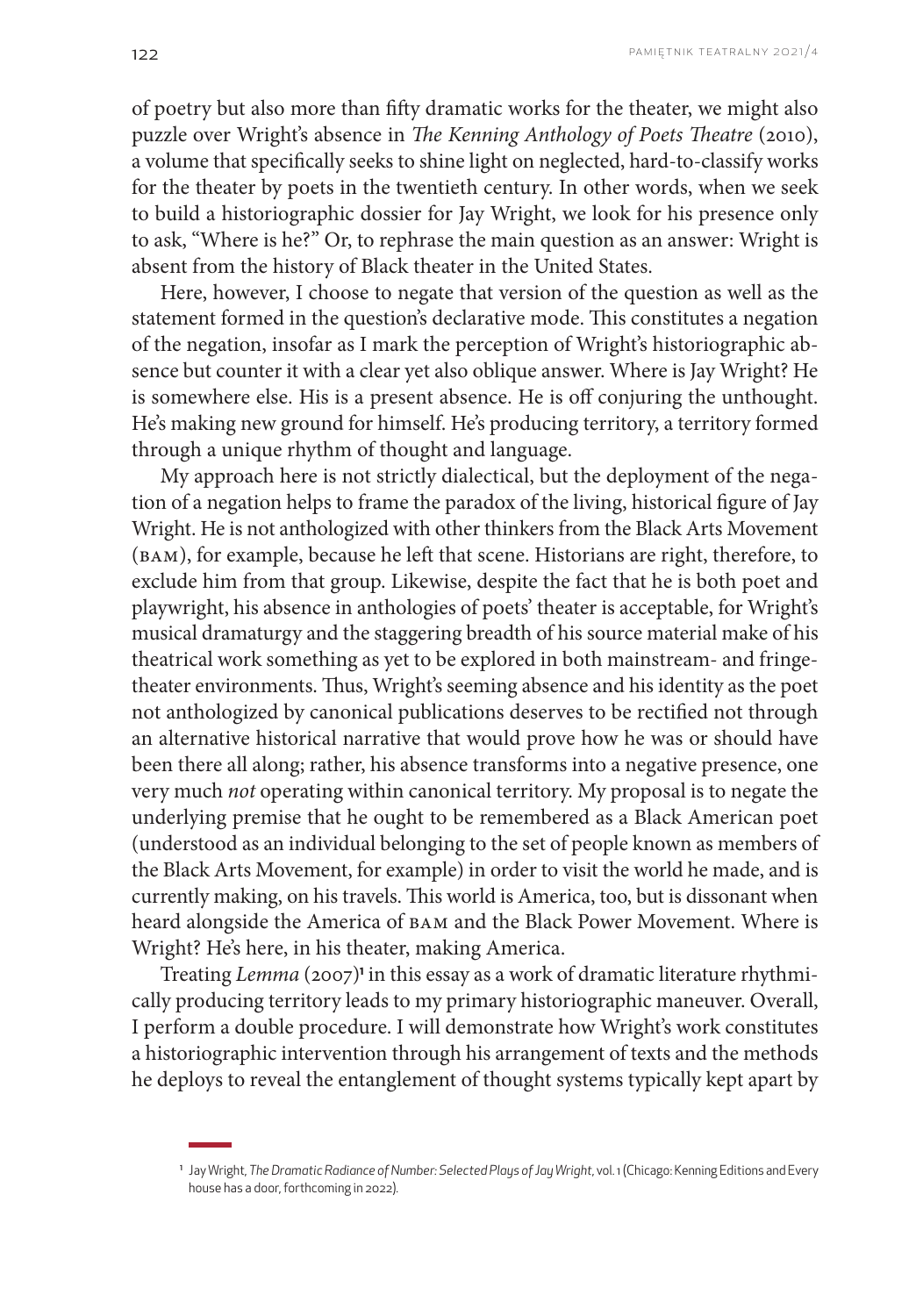of poetry but also more than fifty dramatic works for the theater, we might also puzzle over Wright's absence in *The Kenning Anthology of Poets Theatre* (2010), a volume that specifically seeks to shine light on neglected, hard-to-classify works for the theater by poets in the twentieth century. In other words, when we seek to build a historiographic dossier for Jay Wright, we look for his presence only to ask, "Where is he?" Or, to rephrase the main question as an answer: Wright is absent from the history of Black theater in the United States.

Here, however, I choose to negate that version of the question as well as the statement formed in the question's declarative mode. This constitutes a negation of the negation, insofar as I mark the perception of Wright's historiographic absence but counter it with a clear yet also oblique answer. Where is Jay Wright? He is somewhere else. His is a present absence. He is off conjuring the unthought. He's making new ground for himself. He's producing territory, a territory formed through a unique rhythm of thought and language.

My approach here is not strictly dialectical, but the deployment of the negation of a negation helps to frame the paradox of the living, historical figure of Jay Wright. He is not anthologized with other thinkers from the Black Arts Movement (BAM), for example, because he left that scene. Historians are right, therefore, to exclude him from that group. Likewise, despite the fact that he is both poet and playwright, his absence in anthologies of poets' theater is acceptable, for Wright's musical dramaturgy and the staggering breadth of his source material make of his theatrical work something as yet to be explored in both mainstream- and fringetheater environments. Thus, Wright's seeming absence and his identity as the poet not anthologized by canonical publications deserves to be rectified not through an alternative historical narrative that would prove how he was or should have been there all along; rather, his absence transforms into a negative presence, one very much *not* operating within canonical territory. My proposal is to negate the underlying premise that he ought to be remembered as a Black American poet (understood as an individual belonging to the set of people known as members of the Black Arts Movement, for example) in order to visit the world he made, and is currently making, on his travels. This world is America, too, but is dissonant when heard alongside the America of BAM and the Black Power Movement. Where is Wright? He's here, in his theater, making America.

Treating *Lemma* (2007)<sup>1</sup> in this essay as a work of dramatic literature rhythmically producing territory leads to my primary historiographic maneuver. Overall, I perform a double procedure. I will demonstrate how Wright's work constitutes a historiographic intervention through his arrangement of texts and the methods he deploys to reveal the entanglement of thought systems typically kept apart by

<sup>1</sup> Jay Wright, *The Dramatic Radiance of Number: Selected Plays of Jay Wright*, vol. 1 (Chicago: Kenning Editions and Every house has a door, forthcoming in 2022).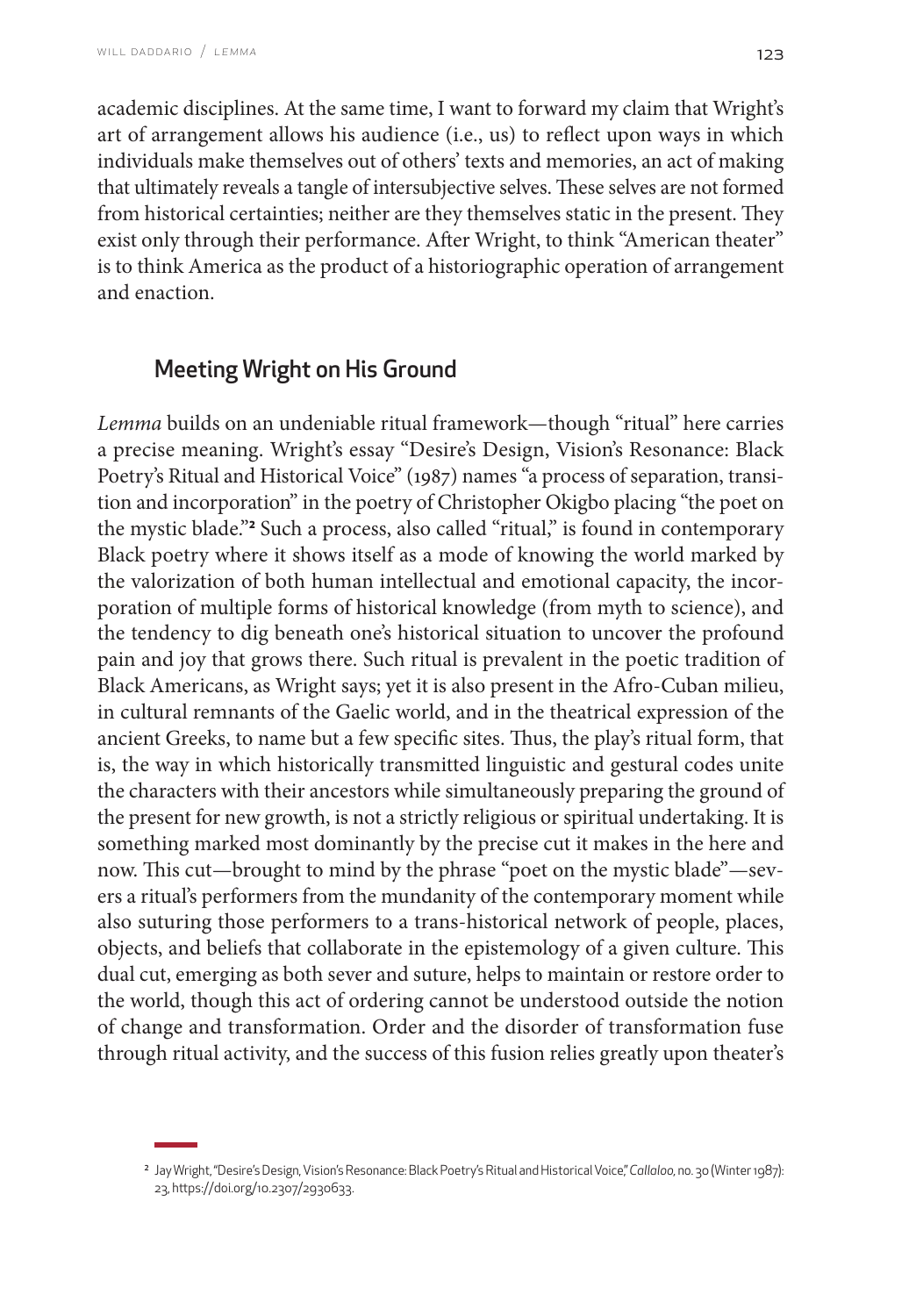academic disciplines. At the same time, I want to forward my claim that Wright's art of arrangement allows his audience (i.e., us) to reflect upon ways in which individuals make themselves out of others' texts and memories, an act of making that ultimately reveals a tangle of intersubjective selves. These selves are not formed from historical certainties; neither are they themselves static in the present. They exist only through their performance. After Wright, to think "American theater" is to think America as the product of a historiographic operation of arrangement and enaction.

# Meeting Wright on His Ground

*Lemma* builds on an undeniable ritual framework—though "ritual" here carries a precise meaning. Wright's essay "Desire's Design, Vision's Resonance: Black Poetry's Ritual and Historical Voice" (1987) names "a process of separation, transition and incorporation" in the poetry of Christopher Okigbo placing "the poet on the mystic blade."<sup>2</sup> Such a process, also called "ritual," is found in contemporary Black poetry where it shows itself as a mode of knowing the world marked by the valorization of both human intellectual and emotional capacity, the incorporation of multiple forms of historical knowledge (from myth to science), and the tendency to dig beneath one's historical situation to uncover the profound pain and joy that grows there. Such ritual is prevalent in the poetic tradition of Black Americans, as Wright says; yet it is also present in the Afro-Cuban milieu, in cultural remnants of the Gaelic world, and in the theatrical expression of the ancient Greeks, to name but a few specific sites. Thus, the play's ritual form, that is, the way in which historically transmitted linguistic and gestural codes unite the characters with their ancestors while simultaneously preparing the ground of the present for new growth, is not a strictly religious or spiritual undertaking. It is something marked most dominantly by the precise cut it makes in the here and now. This cut—brought to mind by the phrase "poet on the mystic blade"—severs a ritual's performers from the mundanity of the contemporary moment while also suturing those performers to a trans-historical network of people, places, objects, and beliefs that collaborate in the epistemology of a given culture. This dual cut, emerging as both sever and suture, helps to maintain or restore order to the world, though this act of ordering cannot be understood outside the notion of change and transformation. Order and the disorder of transformation fuse through ritual activity, and the success of this fusion relies greatly upon theater's

<sup>2</sup> Jay Wright, "Desire's Design, Vision's Resonance: Black Poetry's Ritual and Historical Voice," *Callaloo,* no. 30 (Winter 1987): 23,<https://doi.org/10.2307/2930633>.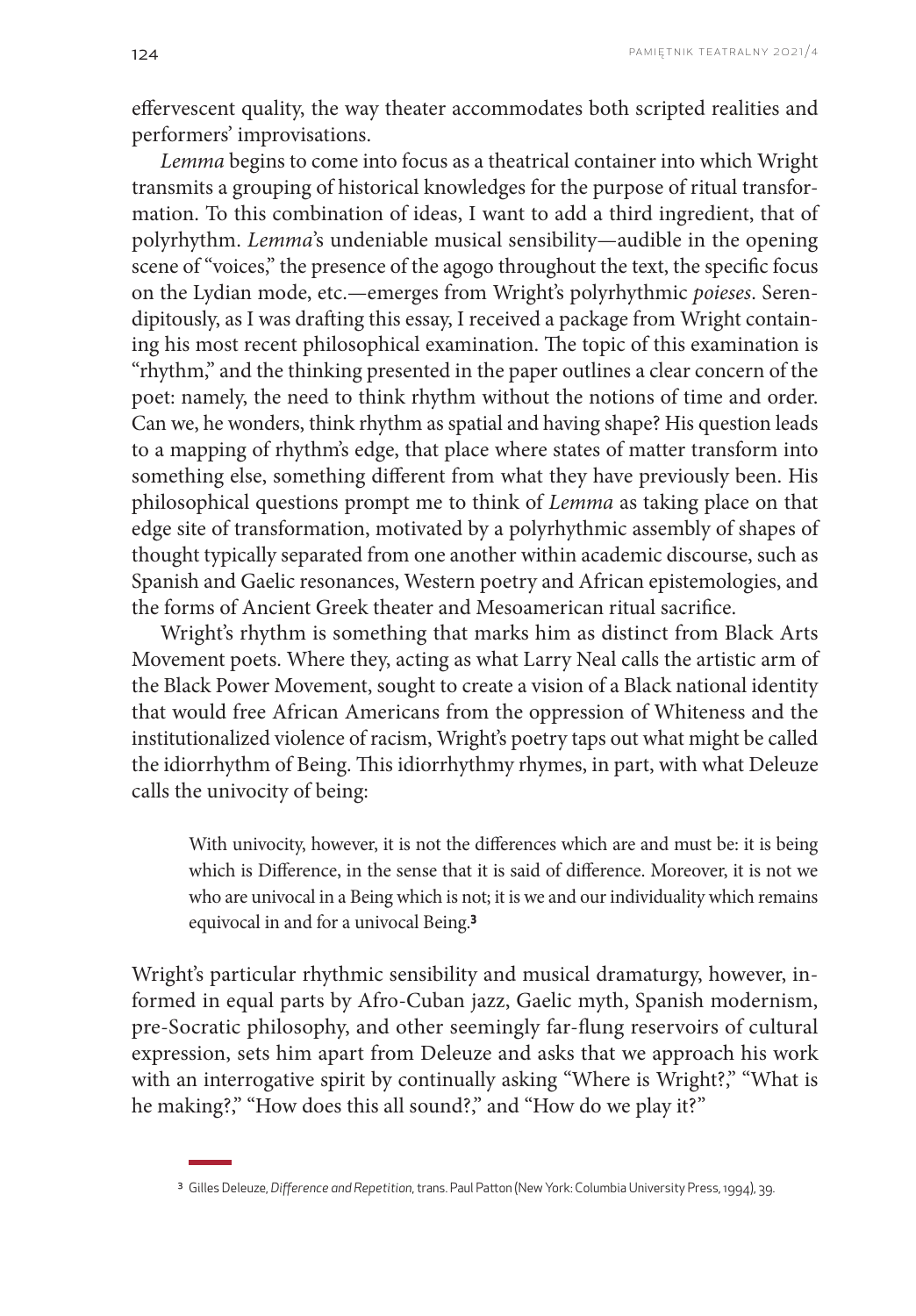effervescent quality, the way theater accommodates both scripted realities and performers' improvisations.

*Lemma* begins to come into focus as a theatrical container into which Wright transmits a grouping of historical knowledges for the purpose of ritual transformation. To this combination of ideas, I want to add a third ingredient, that of polyrhythm. *Lemma*'s undeniable musical sensibility—audible in the opening scene of "voices," the presence of the agogo throughout the text, the specific focus on the Lydian mode, etc.—emerges from Wright's polyrhythmic *poieses*. Serendipitously, as I was drafting this essay, I received a package from Wright containing his most recent philosophical examination. The topic of this examination is "rhythm," and the thinking presented in the paper outlines a clear concern of the poet: namely, the need to think rhythm without the notions of time and order. Can we, he wonders, think rhythm as spatial and having shape? His question leads to a mapping of rhythm's edge, that place where states of matter transform into something else, something different from what they have previously been. His philosophical questions prompt me to think of *Lemma* as taking place on that edge site of transformation, motivated by a polyrhythmic assembly of shapes of thought typically separated from one another within academic discourse, such as Spanish and Gaelic resonances, Western poetry and African epistemologies, and the forms of Ancient Greek theater and Mesoamerican ritual sacrifice.

Wright's rhythm is something that marks him as distinct from Black Arts Movement poets. Where they, acting as what Larry Neal calls the artistic arm of the Black Power Movement, sought to create a vision of a Black national identity that would free African Americans from the oppression of Whiteness and the institutionalized violence of racism, Wright's poetry taps out what might be called the idiorrhythm of Being. This idiorrhythmy rhymes, in part, with what Deleuze calls the univocity of being:

With univocity, however, it is not the differences which are and must be: it is being which is Difference, in the sense that it is said of difference. Moreover, it is not we who are univocal in a Being which is not; it is we and our individuality which remains equivocal in and for a univocal Being.**<sup>3</sup>**

Wright's particular rhythmic sensibility and musical dramaturgy, however, informed in equal parts by Afro-Cuban jazz, Gaelic myth, Spanish modernism, pre-Socratic philosophy, and other seemingly far-flung reservoirs of cultural expression, sets him apart from Deleuze and asks that we approach his work with an interrogative spirit by continually asking "Where is Wright?," "What is he making?," "How does this all sound?," and "How do we play it?"

<sup>3</sup> Gilles Deleuze, *Difference and Repetition*, trans. Paul Patton (New York: Columbia University Press, 1994), 39.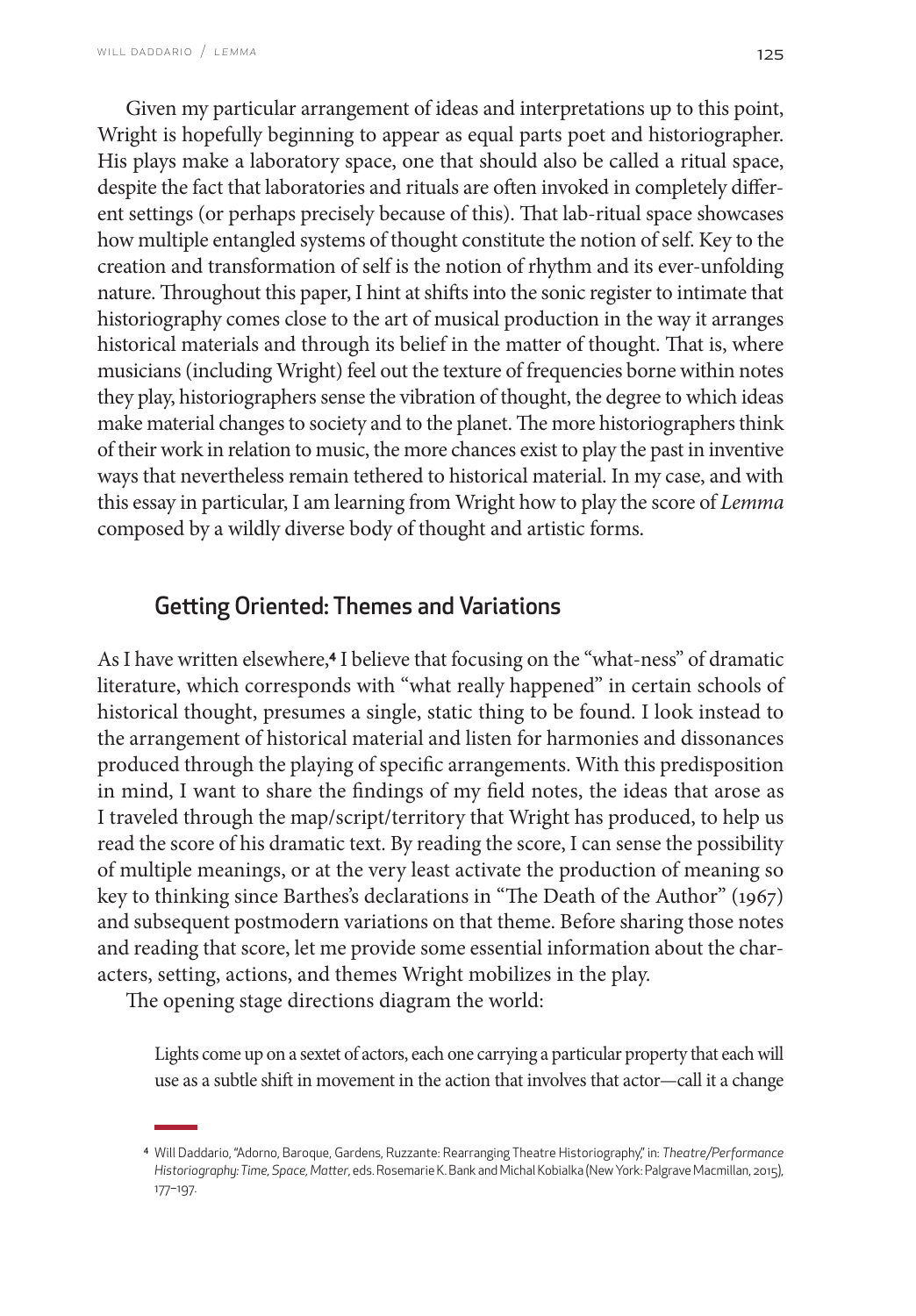Given my particular arrangement of ideas and interpretations up to this point, Wright is hopefully beginning to appear as equal parts poet and historiographer. His plays make a laboratory space, one that should also be called a ritual space, despite the fact that laboratories and rituals are often invoked in completely different settings (or perhaps precisely because of this). That lab-ritual space showcases how multiple entangled systems of thought constitute the notion of self. Key to the creation and transformation of self is the notion of rhythm and its ever-unfolding nature. Throughout this paper, I hint at shifts into the sonic register to intimate that historiography comes close to the art of musical production in the way it arranges historical materials and through its belief in the matter of thought. That is, where musicians (including Wright) feel out the texture of frequencies borne within notes they play, historiographers sense the vibration of thought, the degree to which ideas make material changes to society and to the planet. The more historiographers think of their work in relation to music, the more chances exist to play the past in inventive ways that nevertheless remain tethered to historical material. In my case, and with this essay in particular, I am learning from Wright how to play the score of *Lemma* composed by a wildly diverse body of thought and artistic forms.

# Getting Oriented: Themes and Variations

As I have written elsewhere,**4** I believe that focusing on the "what-ness" of dramatic literature, which corresponds with "what really happened" in certain schools of historical thought, presumes a single, static thing to be found. I look instead to the arrangement of historical material and listen for harmonies and dissonances produced through the playing of specific arrangements. With this predisposition in mind, I want to share the findings of my field notes, the ideas that arose as I traveled through the map/script/territory that Wright has produced, to help us read the score of his dramatic text. By reading the score, I can sense the possibility of multiple meanings, or at the very least activate the production of meaning so key to thinking since Barthes's declarations in "The Death of the Author" (1967) and subsequent postmodern variations on that theme. Before sharing those notes and reading that score, let me provide some essential information about the characters, setting, actions, and themes Wright mobilizes in the play.

The opening stage directions diagram the world:

Lights come up on a sextet of actors, each one carrying a particular property that each will use as a subtle shift in movement in the action that involves that actor—call it a change

<sup>4</sup> Will Daddario, "Adorno, Baroque, Gardens, Ruzzante: Rearranging Theatre Historiography," in: *Theatre/Performance Historiography: Time, Space, Matter*, eds. Rosemarie K. Bank and Michal Kobialka (New York: Palgrave Macmillan, 2015), 177–197.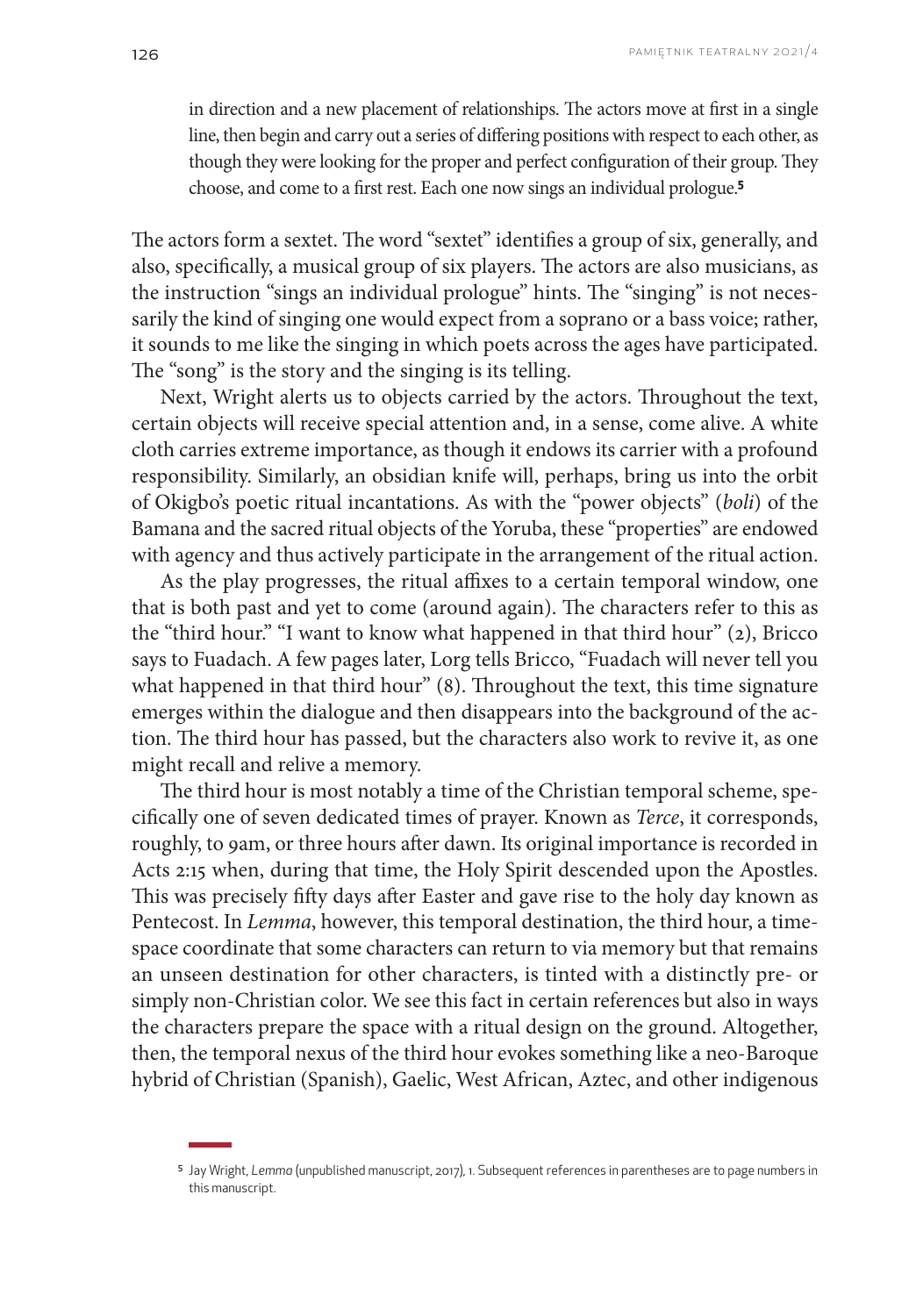in direction and a new placement of relationships. The actors move at first in a single line, then begin and carry out a series of differing positions with respect to each other, as though they were looking for the proper and perfect configuration of their group. They choose, and come to a first rest. Each one now sings an individual prologue.**<sup>5</sup>**

The actors form a sextet. The word "sextet" identifies a group of six, generally, and also, specifically, a musical group of six players. The actors are also musicians, as the instruction "sings an individual prologue" hints. The "singing" is not necessarily the kind of singing one would expect from a soprano or a bass voice; rather, it sounds to me like the singing in which poets across the ages have participated. The "song" is the story and the singing is its telling.

Next, Wright alerts us to objects carried by the actors. Throughout the text, certain objects will receive special attention and, in a sense, come alive. A white cloth carries extreme importance, as though it endows its carrier with a profound responsibility. Similarly, an obsidian knife will, perhaps, bring us into the orbit of Okigbo's poetic ritual incantations. As with the "power objects" (*boli*) of the Bamana and the sacred ritual objects of the Yoruba, these "properties" are endowed with agency and thus actively participate in the arrangement of the ritual action.

As the play progresses, the ritual affixes to a certain temporal window, one that is both past and yet to come (around again). The characters refer to this as the "third hour." "I want to know what happened in that third hour" (2), Bricco says to Fuadach. A few pages later, Lorg tells Bricco, "Fuadach will never tell you what happened in that third hour" (8). Throughout the text, this time signature emerges within the dialogue and then disappears into the background of the action. The third hour has passed, but the characters also work to revive it, as one might recall and relive a memory.

The third hour is most notably a time of the Christian temporal scheme, specifically one of seven dedicated times of prayer. Known as *Terce*, it corresponds, roughly, to 9am, or three hours after dawn. Its original importance is recorded in Acts 2:15 when, during that time, the Holy Spirit descended upon the Apostles. This was precisely fifty days after Easter and gave rise to the holy day known as Pentecost. In *Lemma*, however, this temporal destination, the third hour, a timespace coordinate that some characters can return to via memory but that remains an unseen destination for other characters, is tinted with a distinctly pre- or simply non-Christian color. We see this fact in certain references but also in ways the characters prepare the space with a ritual design on the ground. Altogether, then, the temporal nexus of the third hour evokes something like a neo-Baroque hybrid of Christian (Spanish), Gaelic, West African, Aztec, and other indigenous

<sup>5</sup> Jay Wright, *Lemma* (unpublished manuscript, 2017), 1. Subsequent references in parentheses are to page numbers in this manuscript.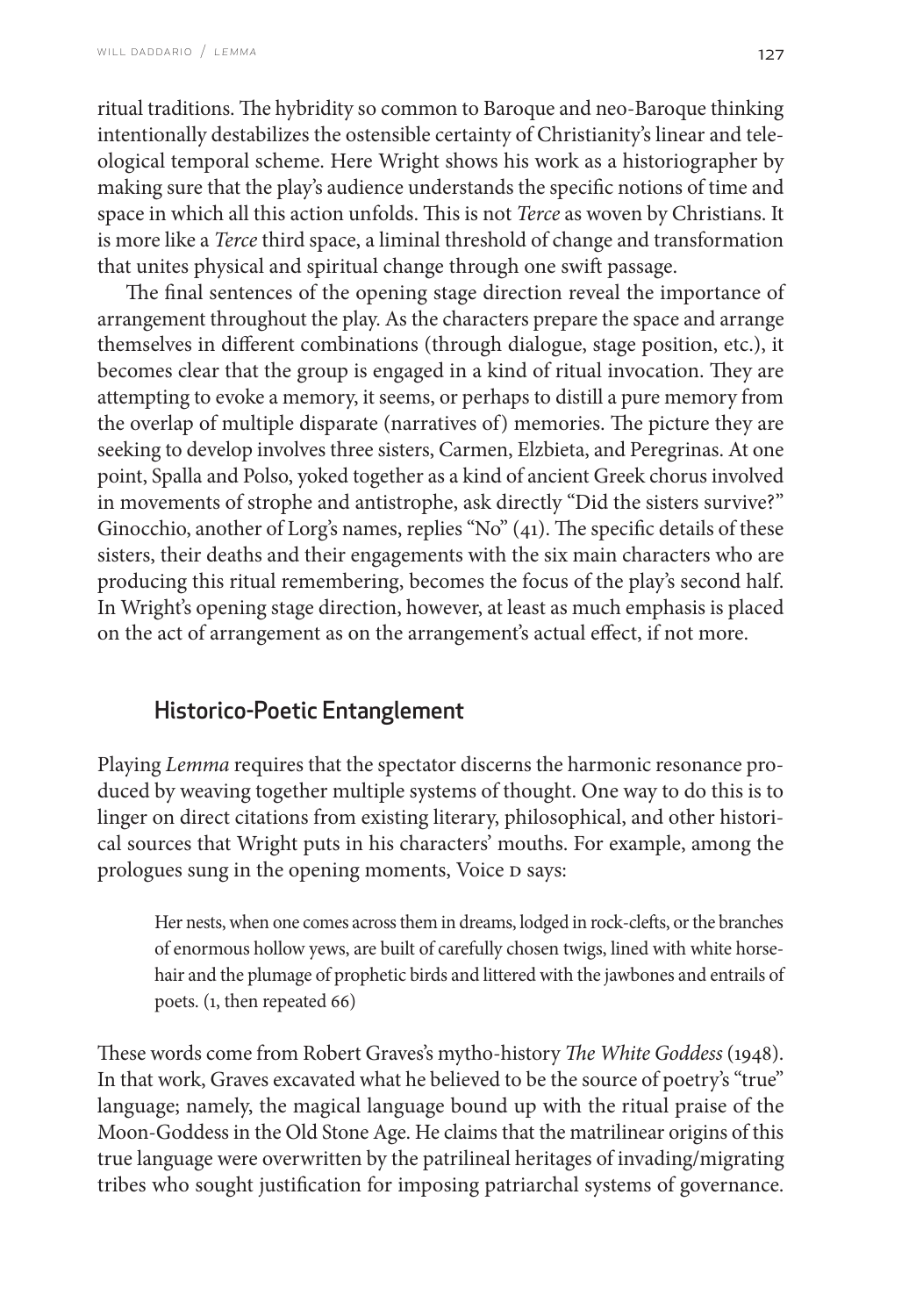ritual traditions. The hybridity so common to Baroque and neo-Baroque thinking intentionally destabilizes the ostensible certainty of Christianity's linear and teleological temporal scheme. Here Wright shows his work as a historiographer by making sure that the play's audience understands the specific notions of time and space in which all this action unfolds. This is not *Terce* as woven by Christians. It is more like a *Terce* third space, a liminal threshold of change and transformation that unites physical and spiritual change through one swift passage.

The final sentences of the opening stage direction reveal the importance of arrangement throughout the play. As the characters prepare the space and arrange themselves in different combinations (through dialogue, stage position, etc.), it becomes clear that the group is engaged in a kind of ritual invocation. They are attempting to evoke a memory, it seems, or perhaps to distill a pure memory from the overlap of multiple disparate (narratives of) memories. The picture they are seeking to develop involves three sisters, Carmen, Elzbieta, and Peregrinas. At one point, Spalla and Polso, yoked together as a kind of ancient Greek chorus involved in movements of strophe and antistrophe, ask directly "Did the sisters survive?" Ginocchio, another of Lorg's names, replies "No" (41). The specific details of these sisters, their deaths and their engagements with the six main characters who are producing this ritual remembering, becomes the focus of the play's second half. In Wright's opening stage direction, however, at least as much emphasis is placed on the act of arrangement as on the arrangement's actual effect, if not more.

# Historico-Poetic Entanglement

Playing *Lemma* requires that the spectator discerns the harmonic resonance produced by weaving together multiple systems of thought. One way to do this is to linger on direct citations from existing literary, philosophical, and other historical sources that Wright puts in his characters' mouths. For example, among the prologues sung in the opening moments, Voice D says:

Her nests, when one comes across them in dreams, lodged in rock-clefts, or the branches of enormous hollow yews, are built of carefully chosen twigs, lined with white horsehair and the plumage of prophetic birds and littered with the jawbones and entrails of poets. (1, then repeated 66)

These words come from Robert Graves's mytho-history *The White Goddess* (1948). In that work, Graves excavated what he believed to be the source of poetry's "true" language; namely, the magical language bound up with the ritual praise of the Moon-Goddess in the Old Stone Age. He claims that the matrilinear origins of this true language were overwritten by the patrilineal heritages of invading/migrating tribes who sought justification for imposing patriarchal systems of governance.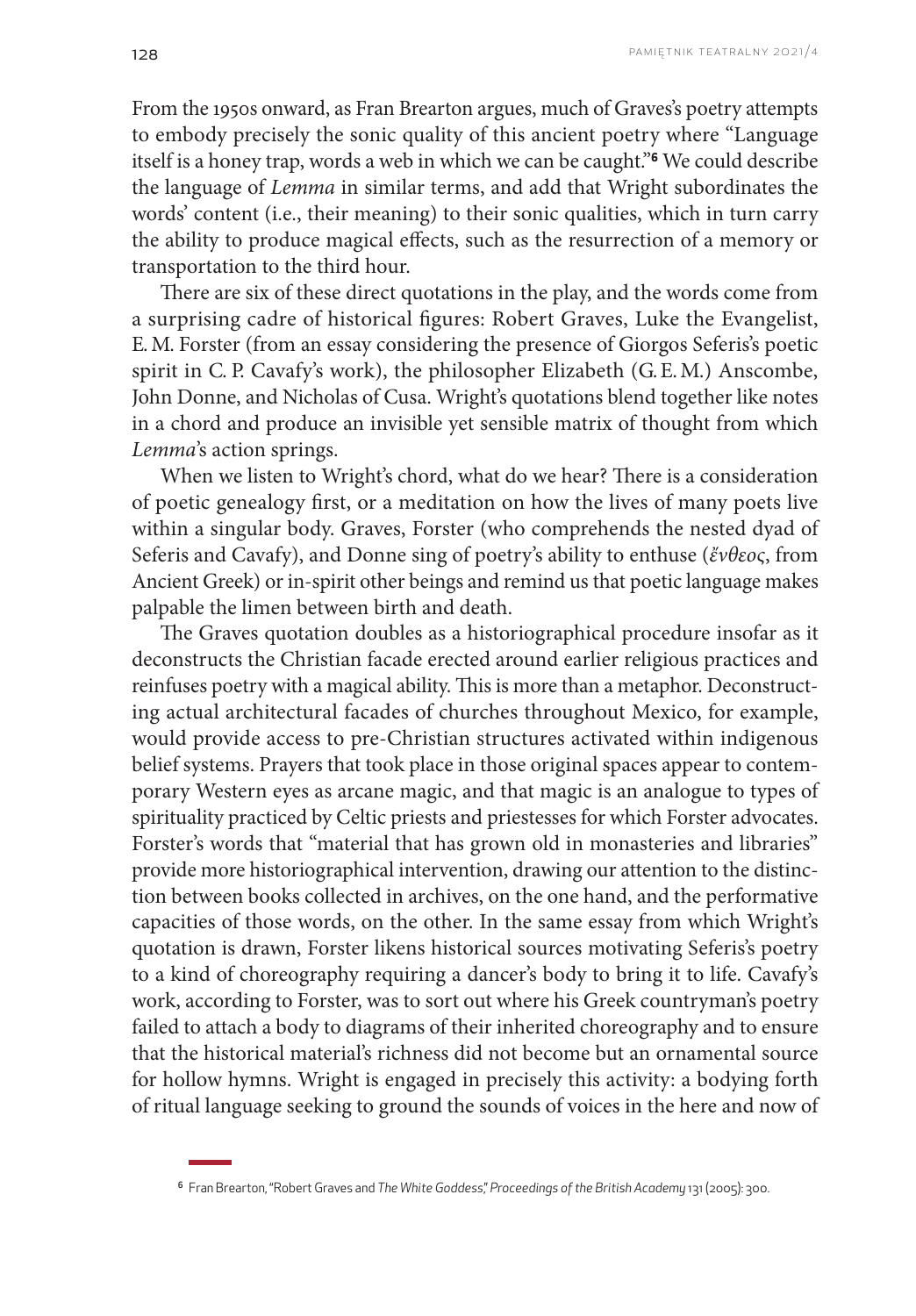From the 1950s onward, as Fran Brearton argues, much of Graves's poetry attempts to embody precisely the sonic quality of this ancient poetry where "Language itself is a honey trap, words a web in which we can be caught."**6** We could describe the language of *Lemma* in similar terms, and add that Wright subordinates the words' content (i.e., their meaning) to their sonic qualities, which in turn carry the ability to produce magical effects, such as the resurrection of a memory or transportation to the third hour.

There are six of these direct quotations in the play, and the words come from a surprising cadre of historical figures: Robert Graves, Luke the Evangelist, E. M. Forster (from an essay considering the presence of Giorgos Seferis's poetic spirit in C. P. Cavafy's work), the philosopher Elizabeth (G. E. M.) Anscombe, John Donne, and Nicholas of Cusa. Wright's quotations blend together like notes in a chord and produce an invisible yet sensible matrix of thought from which *Lemma*'s action springs.

When we listen to Wright's chord, what do we hear? There is a consideration of poetic genealogy first, or a meditation on how the lives of many poets live within a singular body. Graves, Forster (who comprehends the nested dyad of Seferis and Cavafy), and Donne sing of poetry's ability to enthuse (*ἔνθεος*, from Ancient Greek) or in-spirit other beings and remind us that poetic language makes palpable the limen between birth and death.

The Graves quotation doubles as a historiographical procedure insofar as it deconstructs the Christian facade erected around earlier religious practices and reinfuses poetry with a magical ability. This is more than a metaphor. Deconstructing actual architectural facades of churches throughout Mexico, for example, would provide access to pre-Christian structures activated within indigenous belief systems. Prayers that took place in those original spaces appear to contemporary Western eyes as arcane magic, and that magic is an analogue to types of spirituality practiced by Celtic priests and priestesses for which Forster advocates. Forster's words that "material that has grown old in monasteries and libraries" provide more historiographical intervention, drawing our attention to the distinction between books collected in archives, on the one hand, and the performative capacities of those words, on the other. In the same essay from which Wright's quotation is drawn, Forster likens historical sources motivating Seferis's poetry to a kind of choreography requiring a dancer's body to bring it to life. Cavafy's work, according to Forster, was to sort out where his Greek countryman's poetry failed to attach a body to diagrams of their inherited choreography and to ensure that the historical material's richness did not become but an ornamental source for hollow hymns. Wright is engaged in precisely this activity: a bodying forth of ritual language seeking to ground the sounds of voices in the here and now of

<sup>6</sup> Fran Brearton, "Robert Graves and *The White Goddess*," *Proceedings of the British Academy* 131 (2005): 300.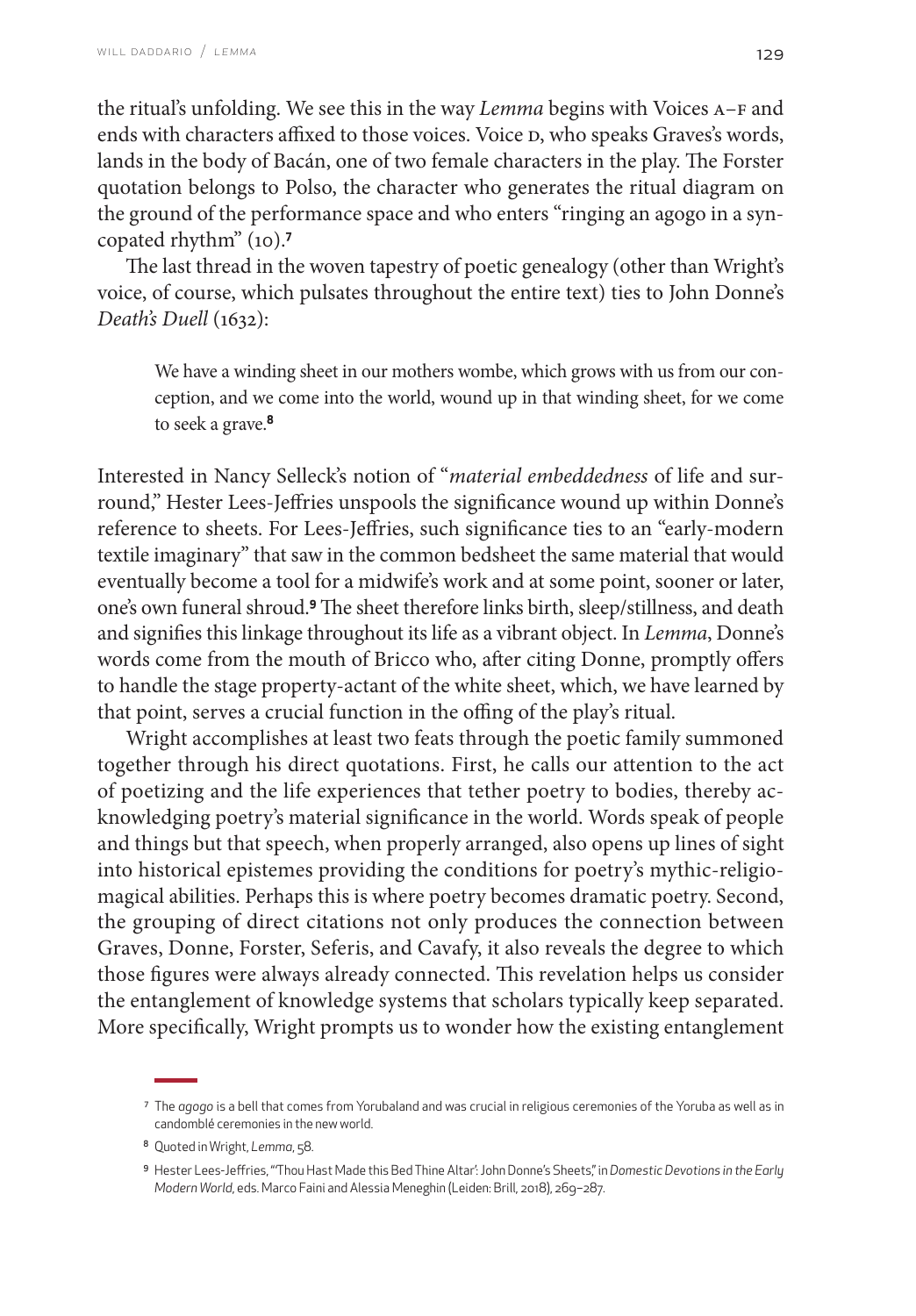the ritual's unfolding. We see this in the way *Lemma* begins with Voices A–F and ends with characters affixed to those voices. Voice D, who speaks Graves's words, lands in the body of Bacán, one of two female characters in the play. The Forster quotation belongs to Polso, the character who generates the ritual diagram on the ground of the performance space and who enters "ringing an agogo in a syncopated rhythm" (10).**<sup>7</sup>**

The last thread in the woven tapestry of poetic genealogy (other than Wright's voice, of course, which pulsates throughout the entire text) ties to John Donne's *Death's Duell* (1632):

We have a winding sheet in our mothers wombe, which grows with us from our conception, and we come into the world, wound up in that winding sheet, for we come to seek a grave.**<sup>8</sup>**

Interested in Nancy Selleck's notion of "*material embeddedness* of life and surround," Hester Lees-Jeffries unspools the significance wound up within Donne's reference to sheets. For Lees-Jeffries, such significance ties to an "early-modern textile imaginary" that saw in the common bedsheet the same material that would eventually become a tool for a midwife's work and at some point, sooner or later, one's own funeral shroud.**9** The sheet therefore links birth, sleep/stillness, and death and signifies this linkage throughout its life as a vibrant object. In *Lemma*, Donne's words come from the mouth of Bricco who, after citing Donne, promptly offers to handle the stage property-actant of the white sheet, which, we have learned by that point, serves a crucial function in the offing of the play's ritual.

Wright accomplishes at least two feats through the poetic family summoned together through his direct quotations. First, he calls our attention to the act of poetizing and the life experiences that tether poetry to bodies, thereby acknowledging poetry's material significance in the world. Words speak of people and things but that speech, when properly arranged, also opens up lines of sight into historical epistemes providing the conditions for poetry's mythic-religiomagical abilities. Perhaps this is where poetry becomes dramatic poetry. Second, the grouping of direct citations not only produces the connection between Graves, Donne, Forster, Seferis, and Cavafy, it also reveals the degree to which those figures were always already connected. This revelation helps us consider the entanglement of knowledge systems that scholars typically keep separated. More specifically, Wright prompts us to wonder how the existing entanglement

<sup>7</sup> The *agogo* is a bell that comes from Yorubaland and was crucial in religious ceremonies of the Yoruba as well as in candomblé ceremonies in the new world.

<sup>8</sup> Quoted in Wright, *Lemma*, 58.

<sup>9</sup> Hester Lees-Jeffries, " 'Thou Hast Made this Bed Thine Altar': John Donne's Sheets," in *Domestic Devotions in the Early Modern World*, eds. Marco Faini and Alessia Meneghin (Leiden: Brill, 2018), 269–287.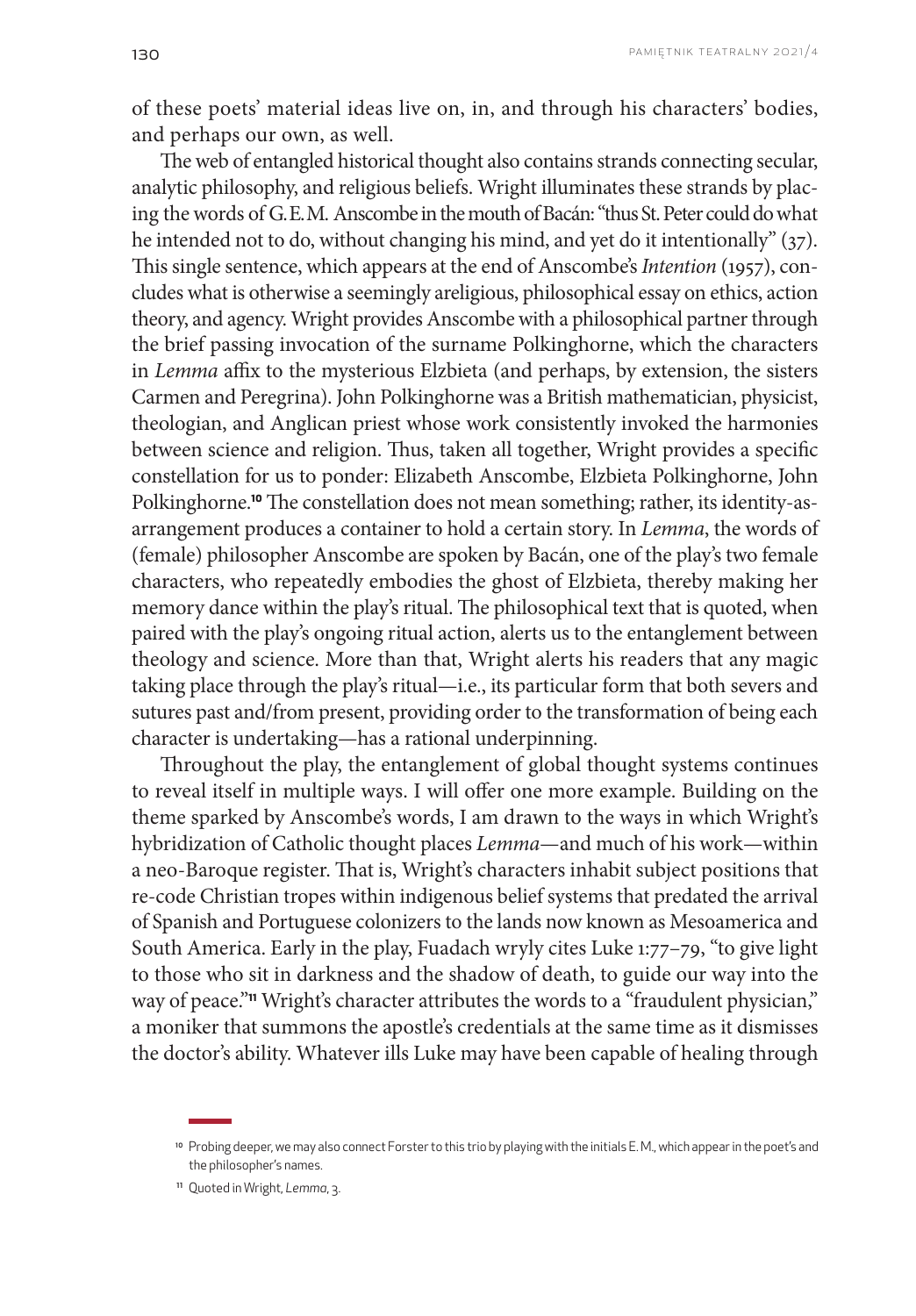of these poets' material ideas live on, in, and through his characters' bodies, and perhaps our own, as well.

The web of entangled historical thought also contains strands connecting secular, analytic philosophy, and religious beliefs. Wright illuminates these strands by placing the words of G. E. M. Anscombe in the mouth of Bacán: "thus St. Peter could do what he intended not to do, without changing his mind, and yet do it intentionally" (37). This single sentence, which appears at the end of Anscombe's *Intention* (1957), concludes what is otherwise a seemingly areligious, philosophical essay on ethics, action theory, and agency. Wright provides Anscombe with a philosophical partner through the brief passing invocation of the surname Polkinghorne, which the characters in *Lemma* affix to the mysterious Elzbieta (and perhaps, by extension, the sisters Carmen and Peregrina). John Polkinghorne was a British mathematician, physicist, theologian, and Anglican priest whose work consistently invoked the harmonies between science and religion. Thus, taken all together, Wright provides a specific constellation for us to ponder: Elizabeth Anscombe, Elzbieta Polkinghorne, John Polkinghorne.**10** The constellation does not mean something; rather, its identity-asarrangement produces a container to hold a certain story. In *Lemma*, the words of (female) philosopher Anscombe are spoken by Bacán, one of the play's two female characters, who repeatedly embodies the ghost of Elzbieta, thereby making her memory dance within the play's ritual. The philosophical text that is quoted, when paired with the play's ongoing ritual action, alerts us to the entanglement between theology and science. More than that, Wright alerts his readers that any magic taking place through the play's ritual—i.e., its particular form that both severs and sutures past and/from present, providing order to the transformation of being each character is undertaking—has a rational underpinning.

Throughout the play, the entanglement of global thought systems continues to reveal itself in multiple ways. I will offer one more example. Building on the theme sparked by Anscombe's words, I am drawn to the ways in which Wright's hybridization of Catholic thought places *Lemma*—and much of his work—within a neo-Baroque register. That is, Wright's characters inhabit subject positions that re-code Christian tropes within indigenous belief systems that predated the arrival of Spanish and Portuguese colonizers to the lands now known as Mesoamerica and South America. Early in the play, Fuadach wryly cites Luke 1:77–79, "to give light to those who sit in darkness and the shadow of death, to guide our way into the way of peace."**11** Wright's character attributes the words to a "fraudulent physician," a moniker that summons the apostle's credentials at the same time as it dismisses the doctor's ability. Whatever ills Luke may have been capable of healing through

<sup>10</sup> Probing deeper, we may also connect Forster to this trio by playing with the initials E. M., which appear in the poet's and the philosopher's names.

<sup>11</sup> Quoted in Wright, *Lemma*, 3.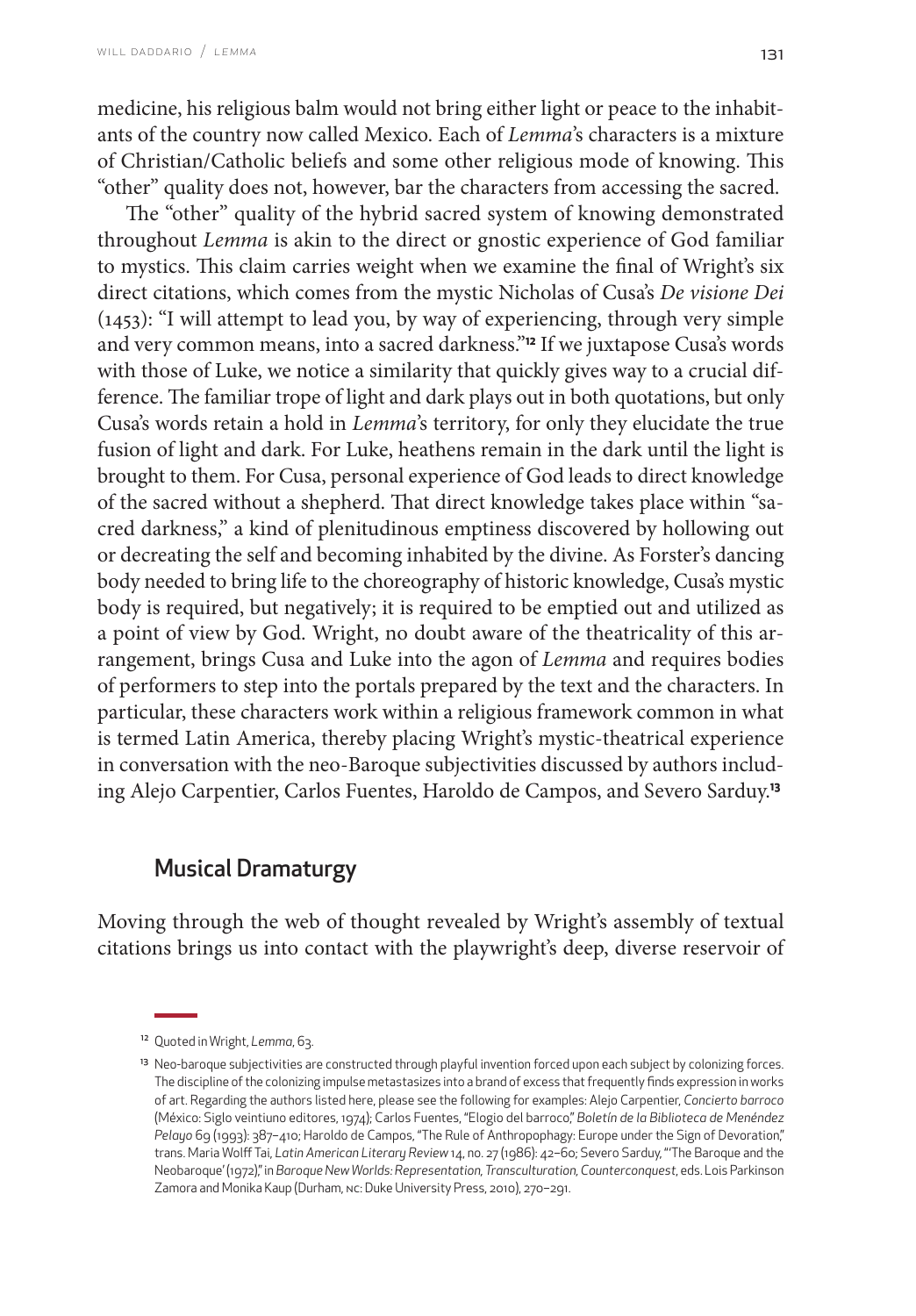medicine, his religious balm would not bring either light or peace to the inhabitants of the country now called Mexico. Each of *Lemma*'s characters is a mixture of Christian/Catholic beliefs and some other religious mode of knowing. This "other" quality does not, however, bar the characters from accessing the sacred.

The "other" quality of the hybrid sacred system of knowing demonstrated throughout *Lemma* is akin to the direct or gnostic experience of God familiar to mystics. This claim carries weight when we examine the final of Wright's six direct citations, which comes from the mystic Nicholas of Cusa's *De visione Dei*  (1453): "I will attempt to lead you, by way of experiencing, through very simple and very common means, into a sacred darkness."**12** If we juxtapose Cusa's words with those of Luke, we notice a similarity that quickly gives way to a crucial difference. The familiar trope of light and dark plays out in both quotations, but only Cusa's words retain a hold in *Lemma*'s territory, for only they elucidate the true fusion of light and dark. For Luke, heathens remain in the dark until the light is brought to them. For Cusa, personal experience of God leads to direct knowledge of the sacred without a shepherd. That direct knowledge takes place within "sacred darkness," a kind of plenitudinous emptiness discovered by hollowing out or decreating the self and becoming inhabited by the divine. As Forster's dancing body needed to bring life to the choreography of historic knowledge, Cusa's mystic body is required, but negatively; it is required to be emptied out and utilized as a point of view by God. Wright, no doubt aware of the theatricality of this arrangement, brings Cusa and Luke into the agon of *Lemma* and requires bodies of performers to step into the portals prepared by the text and the characters. In particular, these characters work within a religious framework common in what is termed Latin America, thereby placing Wright's mystic-theatrical experience in conversation with the neo-Baroque subjectivities discussed by authors including Alejo Carpentier, Carlos Fuentes, Haroldo de Campos, and Severo Sarduy.**<sup>13</sup>**

# Musical Dramaturgy

Moving through the web of thought revealed by Wright's assembly of textual citations brings us into contact with the playwright's deep, diverse reservoir of

<sup>12</sup> Quoted in Wright, *Lemma*, 63.

<sup>&</sup>lt;sup>13</sup> Neo-baroque subjectivities are constructed through playful invention forced upon each subject by colonizing forces. The discipline of the colonizing impulse metastasizes into a brand of excess that frequently finds expression in works of art. Regarding the authors listed here, please see the following for examples: Alejo Carpentier, *Concierto barroco*  (México: Siglo veintiuno editores, 1974); Carlos Fuentes, "Elogio del barroco," *Boletín de la Biblioteca de Menéndez Pelayo* 69 (1993): 387–410; Haroldo de Campos, "The Rule of Anthropophagy: Europe under the Sign of Devoration," trans. Maria Wolff Tai, *Latin American Literary Review* 14, no. 27 (1986): 42–60; Severo Sarduy, "'The Baroque and the Neobaroque' (1972)," in *Baroque New Worlds: Representation, Transculturation, Counterconquest*, eds. Lois Parkinson Zamora and Monika Kaup (Durham, nc: Duke University Press, 2010), 270–291.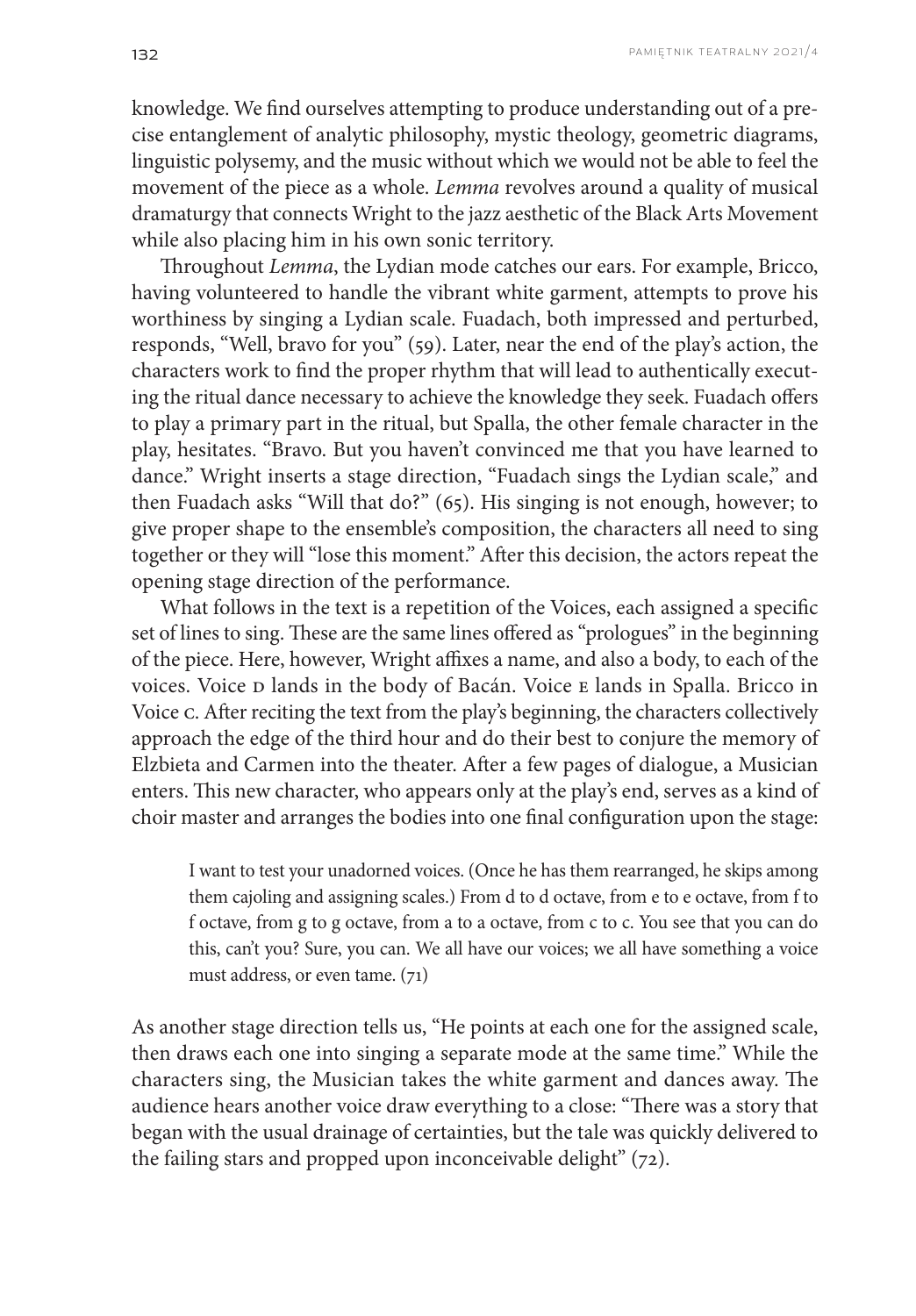knowledge. We find ourselves attempting to produce understanding out of a precise entanglement of analytic philosophy, mystic theology, geometric diagrams, linguistic polysemy, and the music without which we would not be able to feel the movement of the piece as a whole. *Lemma* revolves around a quality of musical dramaturgy that connects Wright to the jazz aesthetic of the Black Arts Movement while also placing him in his own sonic territory.

Throughout *Lemma*, the Lydian mode catches our ears. For example, Bricco, having volunteered to handle the vibrant white garment, attempts to prove his worthiness by singing a Lydian scale. Fuadach, both impressed and perturbed, responds, "Well, bravo for you" (59). Later, near the end of the play's action, the characters work to find the proper rhythm that will lead to authentically executing the ritual dance necessary to achieve the knowledge they seek. Fuadach offers to play a primary part in the ritual, but Spalla, the other female character in the play, hesitates. "Bravo. But you haven't convinced me that you have learned to dance." Wright inserts a stage direction, "Fuadach sings the Lydian scale," and then Fuadach asks "Will that do?" (65). His singing is not enough, however; to give proper shape to the ensemble's composition, the characters all need to sing together or they will "lose this moment." After this decision, the actors repeat the opening stage direction of the performance.

What follows in the text is a repetition of the Voices, each assigned a specific set of lines to sing. These are the same lines offered as "prologues" in the beginning of the piece. Here, however, Wright affixes a name, and also a body, to each of the voices. Voice D lands in the body of Bacán. Voice E lands in Spalla. Bricco in Voice c. After reciting the text from the play's beginning, the characters collectively approach the edge of the third hour and do their best to conjure the memory of Elzbieta and Carmen into the theater. After a few pages of dialogue, a Musician enters. This new character, who appears only at the play's end, serves as a kind of choir master and arranges the bodies into one final configuration upon the stage:

I want to test your unadorned voices. (Once he has them rearranged, he skips among them cajoling and assigning scales.) From d to d octave, from e to e octave, from f to f octave, from g to g octave, from a to a octave, from c to c. You see that you can do this, can't you? Sure, you can. We all have our voices; we all have something a voice must address, or even tame. (71)

As another stage direction tells us, "He points at each one for the assigned scale, then draws each one into singing a separate mode at the same time." While the characters sing, the Musician takes the white garment and dances away. The audience hears another voice draw everything to a close: "There was a story that began with the usual drainage of certainties, but the tale was quickly delivered to the failing stars and propped upon inconceivable delight" (72).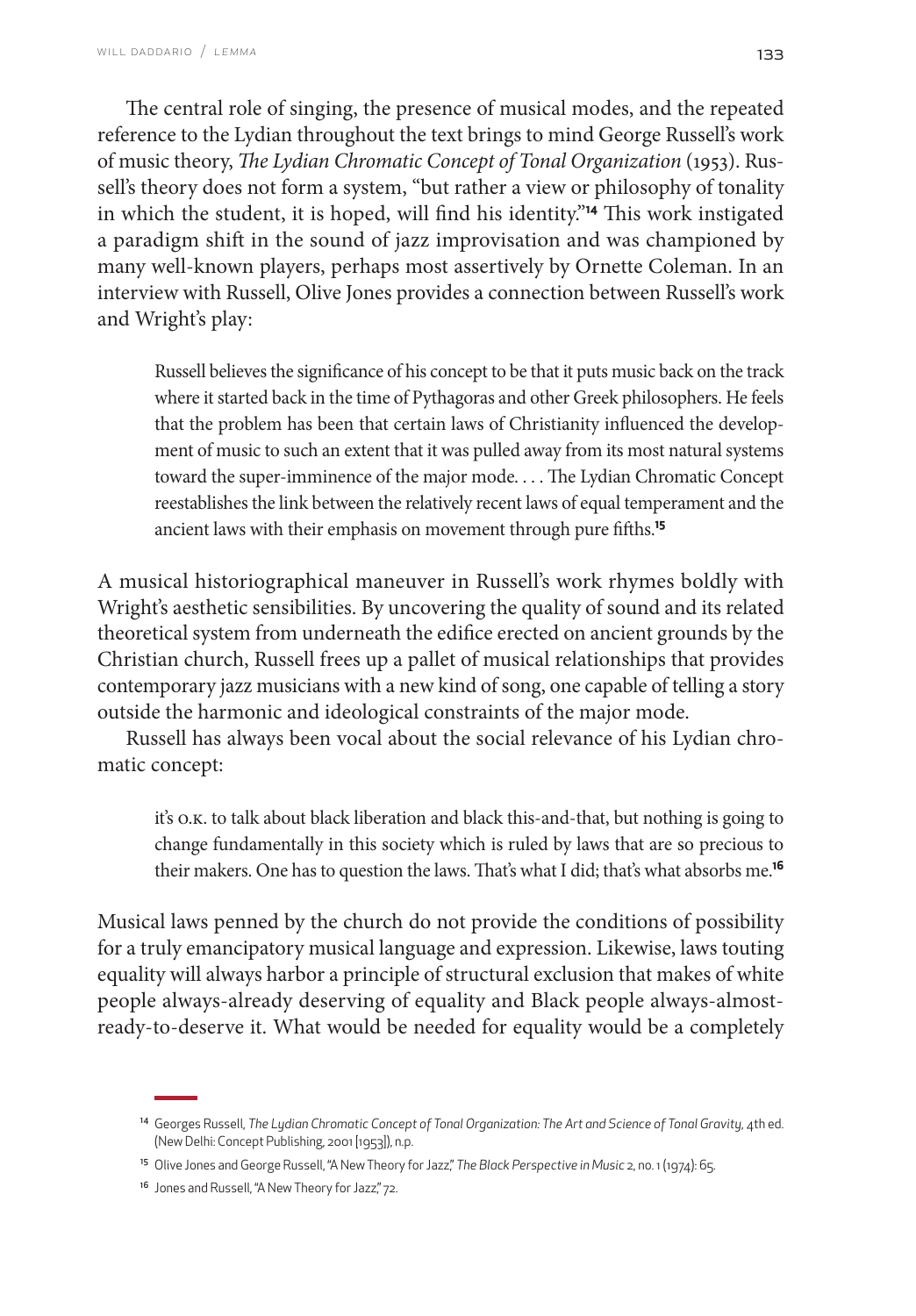The central role of singing, the presence of musical modes, and the repeated reference to the Lydian throughout the text brings to mind George Russell's work of music theory, *The Lydian Chromatic Concept of Tonal Organization* (1953). Russell's theory does not form a system, "but rather a view or philosophy of tonality in which the student, it is hoped, will find his identity."**14** This work instigated a paradigm shift in the sound of jazz improvisation and was championed by many well-known players, perhaps most assertively by Ornette Coleman. In an interview with Russell, Olive Jones provides a connection between Russell's work and Wright's play:

Russell believes the significance of his concept to be that it puts music back on the track where it started back in the time of Pythagoras and other Greek philosophers. He feels that the problem has been that certain laws of Christianity influenced the development of music to such an extent that it was pulled away from its most natural systems toward the super-imminence of the major mode. . . . The Lydian Chromatic Concept reestablishes the link between the relatively recent laws of equal temperament and the ancient laws with their emphasis on movement through pure fifths.**<sup>15</sup>**

A musical historiographical maneuver in Russell's work rhymes boldly with Wright's aesthetic sensibilities. By uncovering the quality of sound and its related theoretical system from underneath the edifice erected on ancient grounds by the Christian church, Russell frees up a pallet of musical relationships that provides contemporary jazz musicians with a new kind of song, one capable of telling a story outside the harmonic and ideological constraints of the major mode.

Russell has always been vocal about the social relevance of his Lydian chromatic concept:

it's o.k. to talk about black liberation and black this-and-that, but nothing is going to change fundamentally in this society which is ruled by laws that are so precious to their makers. One has to question the laws. That's what I did; that's what absorbs me.**<sup>16</sup>**

Musical laws penned by the church do not provide the conditions of possibility for a truly emancipatory musical language and expression. Likewise, laws touting equality will always harbor a principle of structural exclusion that makes of white people always-already deserving of equality and Black people always-almostready-to-deserve it. What would be needed for equality would be a completely

<sup>&</sup>lt;sup>14</sup> Georges Russell, The Lydian Chromatic Concept of Tonal Organization: The Art and Science of Tonal Gravity, 4th ed. (New Delhi: Concept Publishing, 2001 [1953]), n.p.

<sup>15</sup> Olive Jones and George Russell, "A New Theory for Jazz," *The Black Perspective in Music* 2, no. 1 (1974): 65.

<sup>&</sup>lt;sup>16</sup> Jones and Russell, "A New Theory for Jazz," 72.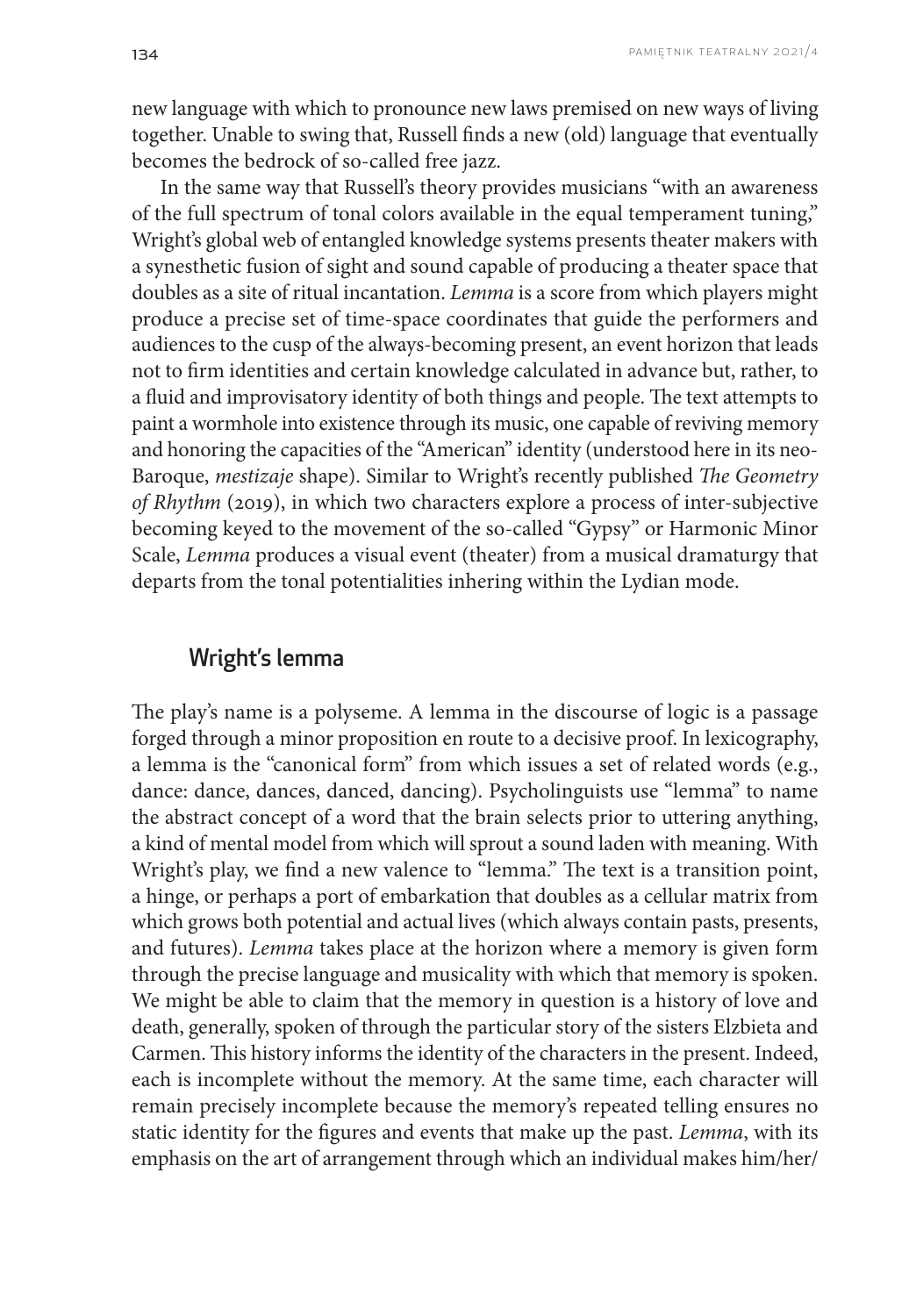new language with which to pronounce new laws premised on new ways of living together. Unable to swing that, Russell finds a new (old) language that eventually becomes the bedrock of so-called free jazz.

In the same way that Russell's theory provides musicians "with an awareness of the full spectrum of tonal colors available in the equal temperament tuning," Wright's global web of entangled knowledge systems presents theater makers with a synesthetic fusion of sight and sound capable of producing a theater space that doubles as a site of ritual incantation. *Lemma* is a score from which players might produce a precise set of time-space coordinates that guide the performers and audiences to the cusp of the always-becoming present, an event horizon that leads not to firm identities and certain knowledge calculated in advance but, rather, to a fluid and improvisatory identity of both things and people. The text attempts to paint a wormhole into existence through its music, one capable of reviving memory and honoring the capacities of the "American" identity (understood here in its neo-Baroque, *mestizaje* shape). Similar to Wright's recently published *The Geometry of Rhythm* (2019), in which two characters explore a process of inter-subjective becoming keyed to the movement of the so-called "Gypsy" or Harmonic Minor Scale, *Lemma* produces a visual event (theater) from a musical dramaturgy that departs from the tonal potentialities inhering within the Lydian mode.

## Wright's lemma

The play's name is a polyseme. A lemma in the discourse of logic is a passage forged through a minor proposition en route to a decisive proof. In lexicography, a lemma is the "canonical form" from which issues a set of related words (e.g., dance: dance, dances, danced, dancing). Psycholinguists use "lemma" to name the abstract concept of a word that the brain selects prior to uttering anything, a kind of mental model from which will sprout a sound laden with meaning. With Wright's play, we find a new valence to "lemma." The text is a transition point, a hinge, or perhaps a port of embarkation that doubles as a cellular matrix from which grows both potential and actual lives (which always contain pasts, presents, and futures). *Lemma* takes place at the horizon where a memory is given form through the precise language and musicality with which that memory is spoken. We might be able to claim that the memory in question is a history of love and death, generally, spoken of through the particular story of the sisters Elzbieta and Carmen. This history informs the identity of the characters in the present. Indeed, each is incomplete without the memory. At the same time, each character will remain precisely incomplete because the memory's repeated telling ensures no static identity for the figures and events that make up the past. *Lemma*, with its emphasis on the art of arrangement through which an individual makes him/her/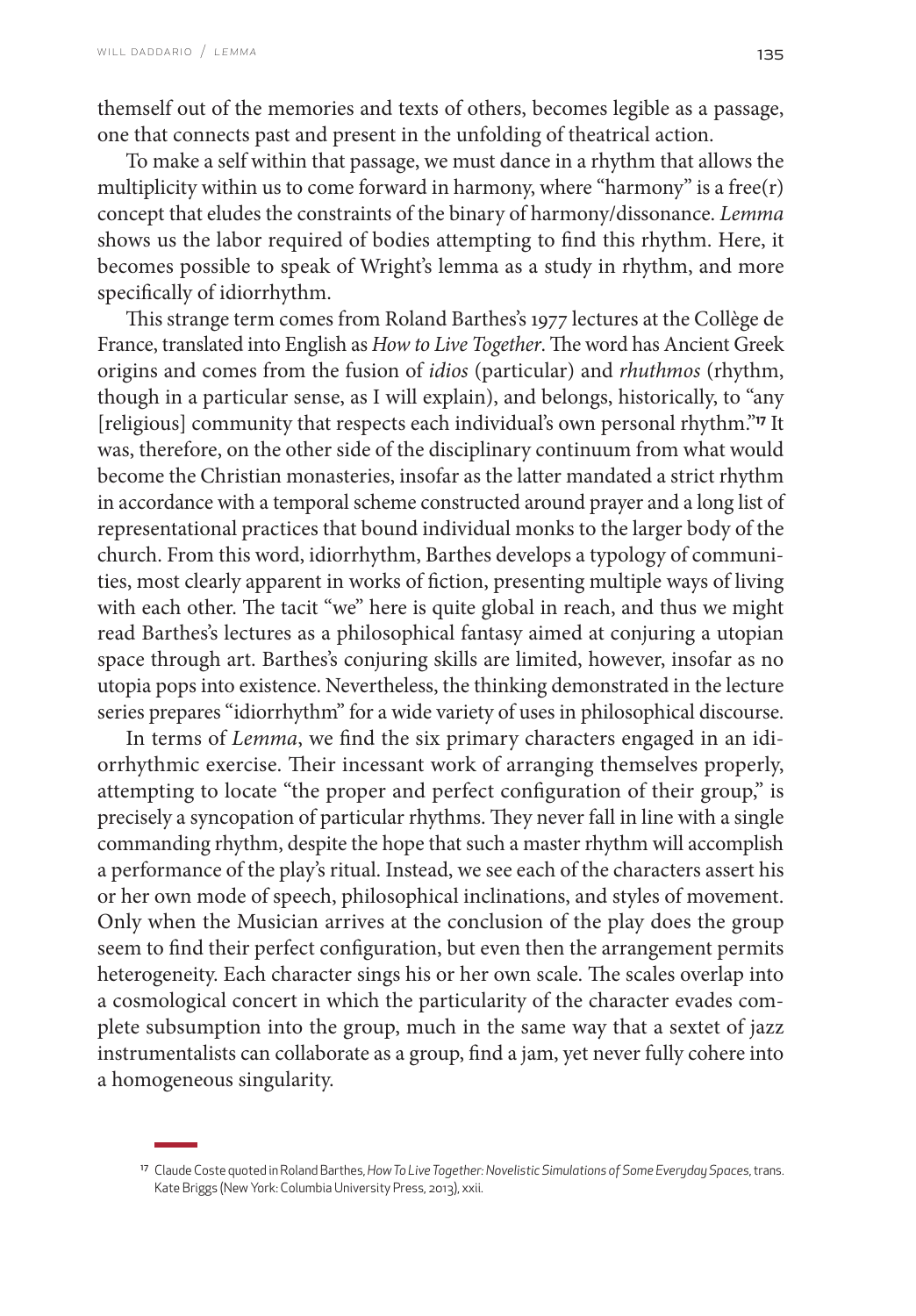themself out of the memories and texts of others, becomes legible as a passage, one that connects past and present in the unfolding of theatrical action.

To make a self within that passage, we must dance in a rhythm that allows the multiplicity within us to come forward in harmony, where "harmony" is a free $(r)$ concept that eludes the constraints of the binary of harmony/dissonance. *Lemma* shows us the labor required of bodies attempting to find this rhythm. Here, it becomes possible to speak of Wright's lemma as a study in rhythm, and more specifically of idiorrhythm.

This strange term comes from Roland Barthes's 1977 lectures at the Collège de France, translated into English as *How to Live Together*. The word has Ancient Greek origins and comes from the fusion of *idios* (particular) and *rhuthmos* (rhythm, though in a particular sense, as I will explain), and belongs, historically, to "any [religious] community that respects each individual's own personal rhythm."**17** It was, therefore, on the other side of the disciplinary continuum from what would become the Christian monasteries, insofar as the latter mandated a strict rhythm in accordance with a temporal scheme constructed around prayer and a long list of representational practices that bound individual monks to the larger body of the church. From this word, idiorrhythm, Barthes develops a typology of communities, most clearly apparent in works of fiction, presenting multiple ways of living with each other. The tacit "we" here is quite global in reach, and thus we might read Barthes's lectures as a philosophical fantasy aimed at conjuring a utopian space through art. Barthes's conjuring skills are limited, however, insofar as no utopia pops into existence. Nevertheless, the thinking demonstrated in the lecture series prepares "idiorrhythm" for a wide variety of uses in philosophical discourse.

In terms of *Lemma*, we find the six primary characters engaged in an idiorrhythmic exercise. Their incessant work of arranging themselves properly, attempting to locate "the proper and perfect configuration of their group," is precisely a syncopation of particular rhythms. They never fall in line with a single commanding rhythm, despite the hope that such a master rhythm will accomplish a performance of the play's ritual. Instead, we see each of the characters assert his or her own mode of speech, philosophical inclinations, and styles of movement. Only when the Musician arrives at the conclusion of the play does the group seem to find their perfect configuration, but even then the arrangement permits heterogeneity. Each character sings his or her own scale. The scales overlap into a cosmological concert in which the particularity of the character evades complete subsumption into the group, much in the same way that a sextet of jazz instrumentalists can collaborate as a group, find a jam, yet never fully cohere into a homogeneous singularity.

<sup>17</sup> Claude Coste quoted in Roland Barthes, *How To Live Together: Novelistic Simulations of Some Everyday Spaces*, trans. Kate Briggs (New York: Columbia University Press, 2013), xxii.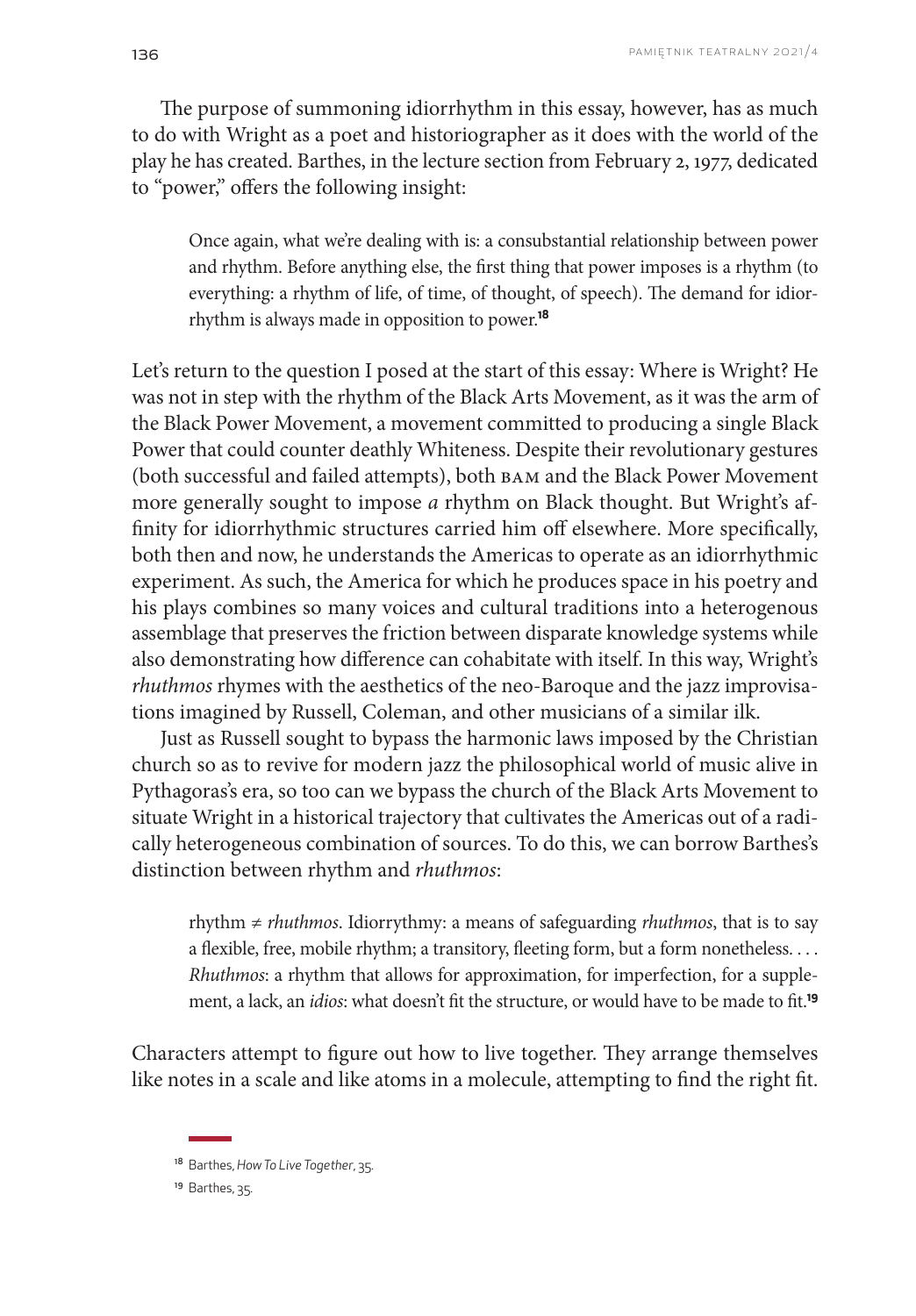The purpose of summoning idiorrhythm in this essay, however, has as much to do with Wright as a poet and historiographer as it does with the world of the play he has created. Barthes, in the lecture section from February 2, 1977, dedicated to "power," offers the following insight:

Once again, what we're dealing with is: a consubstantial relationship between power and rhythm. Before anything else, the first thing that power imposes is a rhythm (to everything: a rhythm of life, of time, of thought, of speech). The demand for idiorrhythm is always made in opposition to power.**<sup>18</sup>**

Let's return to the question I posed at the start of this essay: Where is Wright? He was not in step with the rhythm of the Black Arts Movement, as it was the arm of the Black Power Movement, a movement committed to producing a single Black Power that could counter deathly Whiteness. Despite their revolutionary gestures (both successful and failed attempts), both BAM and the Black Power Movement more generally sought to impose *a* rhythm on Black thought. But Wright's affinity for idiorrhythmic structures carried him off elsewhere. More specifically, both then and now, he understands the Americas to operate as an idiorrhythmic experiment. As such, the America for which he produces space in his poetry and his plays combines so many voices and cultural traditions into a heterogenous assemblage that preserves the friction between disparate knowledge systems while also demonstrating how difference can cohabitate with itself. In this way, Wright's *rhuthmos* rhymes with the aesthetics of the neo-Baroque and the jazz improvisations imagined by Russell, Coleman, and other musicians of a similar ilk.

Just as Russell sought to bypass the harmonic laws imposed by the Christian church so as to revive for modern jazz the philosophical world of music alive in Pythagoras's era, so too can we bypass the church of the Black Arts Movement to situate Wright in a historical trajectory that cultivates the Americas out of a radically heterogeneous combination of sources. To do this, we can borrow Barthes's distinction between rhythm and *rhuthmos*:

rhythm ≠ *rhuthmos*. Idiorrythmy: a means of safeguarding *rhuthmos*, that is to say a flexible, free, mobile rhythm; a transitory, fleeting form, but a form nonetheless. . . . *Rhuthmos*: a rhythm that allows for approximation, for imperfection, for a supplement, a lack, an *idios*: what doesn't fit the structure, or would have to be made to fit.**<sup>19</sup>**

Characters attempt to figure out how to live together. They arrange themselves like notes in a scale and like atoms in a molecule, attempting to find the right fit.

<sup>18</sup> Barthes, *How To Live Together*, 35.

<sup>19</sup> Barthes, 35.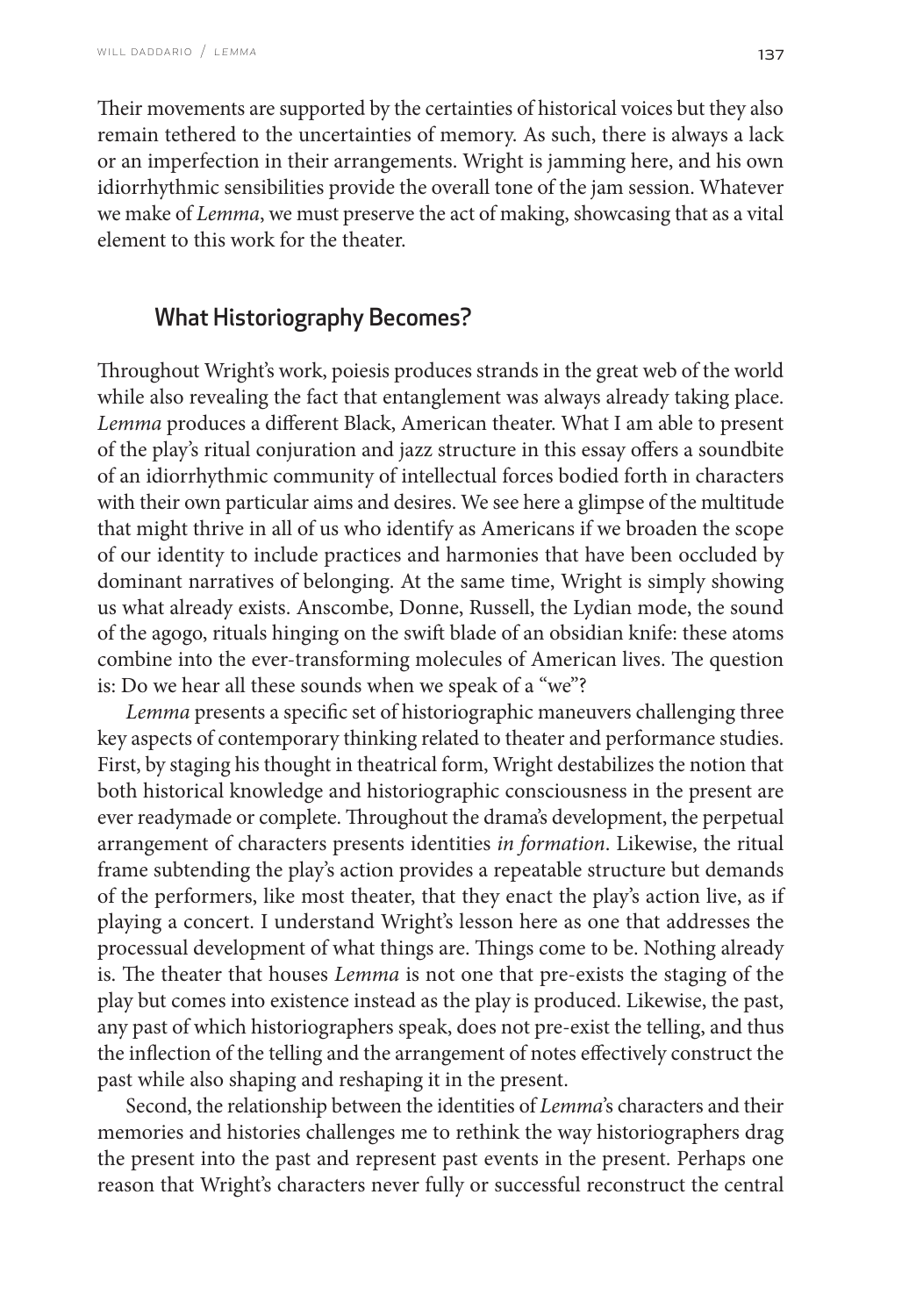Their movements are supported by the certainties of historical voices but they also remain tethered to the uncertainties of memory. As such, there is always a lack or an imperfection in their arrangements. Wright is jamming here, and his own idiorrhythmic sensibilities provide the overall tone of the jam session. Whatever we make of *Lemma*, we must preserve the act of making, showcasing that as a vital element to this work for the theater.

# What Historiography Becomes?

Throughout Wright's work, poiesis produces strands in the great web of the world while also revealing the fact that entanglement was always already taking place. *Lemma* produces a different Black, American theater. What I am able to present of the play's ritual conjuration and jazz structure in this essay offers a soundbite of an idiorrhythmic community of intellectual forces bodied forth in characters with their own particular aims and desires. We see here a glimpse of the multitude that might thrive in all of us who identify as Americans if we broaden the scope of our identity to include practices and harmonies that have been occluded by dominant narratives of belonging. At the same time, Wright is simply showing us what already exists. Anscombe, Donne, Russell, the Lydian mode, the sound of the agogo, rituals hinging on the swift blade of an obsidian knife: these atoms combine into the ever-transforming molecules of American lives. The question is: Do we hear all these sounds when we speak of a "we"?

*Lemma* presents a specific set of historiographic maneuvers challenging three key aspects of contemporary thinking related to theater and performance studies. First, by staging his thought in theatrical form, Wright destabilizes the notion that both historical knowledge and historiographic consciousness in the present are ever readymade or complete. Throughout the drama's development, the perpetual arrangement of characters presents identities *in formation*. Likewise, the ritual frame subtending the play's action provides a repeatable structure but demands of the performers, like most theater, that they enact the play's action live, as if playing a concert. I understand Wright's lesson here as one that addresses the processual development of what things are. Things come to be. Nothing already is. The theater that houses *Lemma* is not one that pre-exists the staging of the play but comes into existence instead as the play is produced. Likewise, the past, any past of which historiographers speak, does not pre-exist the telling, and thus the inflection of the telling and the arrangement of notes effectively construct the past while also shaping and reshaping it in the present.

Second, the relationship between the identities of *Lemma*'s characters and their memories and histories challenges me to rethink the way historiographers drag the present into the past and represent past events in the present. Perhaps one reason that Wright's characters never fully or successful reconstruct the central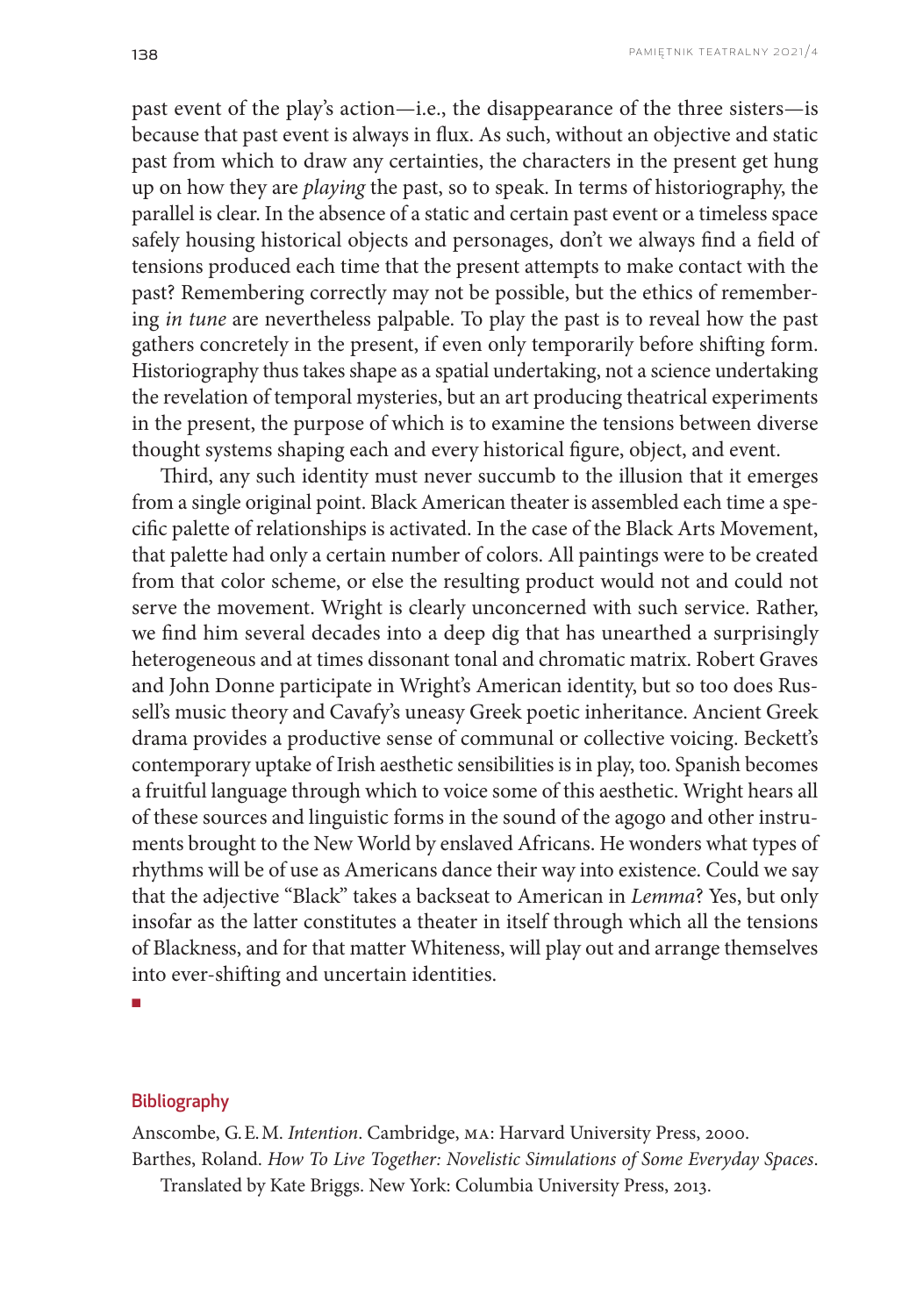past event of the play's action—i.e., the disappearance of the three sisters—is because that past event is always in flux. As such, without an objective and static past from which to draw any certainties, the characters in the present get hung up on how they are *playing* the past, so to speak. In terms of historiography, the parallel is clear. In the absence of a static and certain past event or a timeless space safely housing historical objects and personages, don't we always find a field of tensions produced each time that the present attempts to make contact with the past? Remembering correctly may not be possible, but the ethics of remembering *in tune* are nevertheless palpable. To play the past is to reveal how the past gathers concretely in the present, if even only temporarily before shifting form. Historiography thus takes shape as a spatial undertaking, not a science undertaking the revelation of temporal mysteries, but an art producing theatrical experiments in the present, the purpose of which is to examine the tensions between diverse thought systems shaping each and every historical figure, object, and event.

Third, any such identity must never succumb to the illusion that it emerges from a single original point. Black American theater is assembled each time a specific palette of relationships is activated. In the case of the Black Arts Movement, that palette had only a certain number of colors. All paintings were to be created from that color scheme, or else the resulting product would not and could not serve the movement. Wright is clearly unconcerned with such service. Rather, we find him several decades into a deep dig that has unearthed a surprisingly heterogeneous and at times dissonant tonal and chromatic matrix. Robert Graves and John Donne participate in Wright's American identity, but so too does Russell's music theory and Cavafy's uneasy Greek poetic inheritance. Ancient Greek drama provides a productive sense of communal or collective voicing. Beckett's contemporary uptake of Irish aesthetic sensibilities is in play, too. Spanish becomes a fruitful language through which to voice some of this aesthetic. Wright hears all of these sources and linguistic forms in the sound of the agogo and other instruments brought to the New World by enslaved Africans. He wonders what types of rhythms will be of use as Americans dance their way into existence. Could we say that the adjective "Black" takes a backseat to American in *Lemma*? Yes, but only insofar as the latter constitutes a theater in itself through which all the tensions of Blackness, and for that matter Whiteness, will play out and arrange themselves into ever-shifting and uncertain identities.

■

#### **Bibliography**

Anscombe, G. E. M. *Intention*. Cambridge, MA: Harvard University Press, 2000. Barthes, Roland. *How To Live Together: Novelistic Simulations of Some Everyday Spaces*. Translated by Kate Briggs. New York: Columbia University Press, 2013.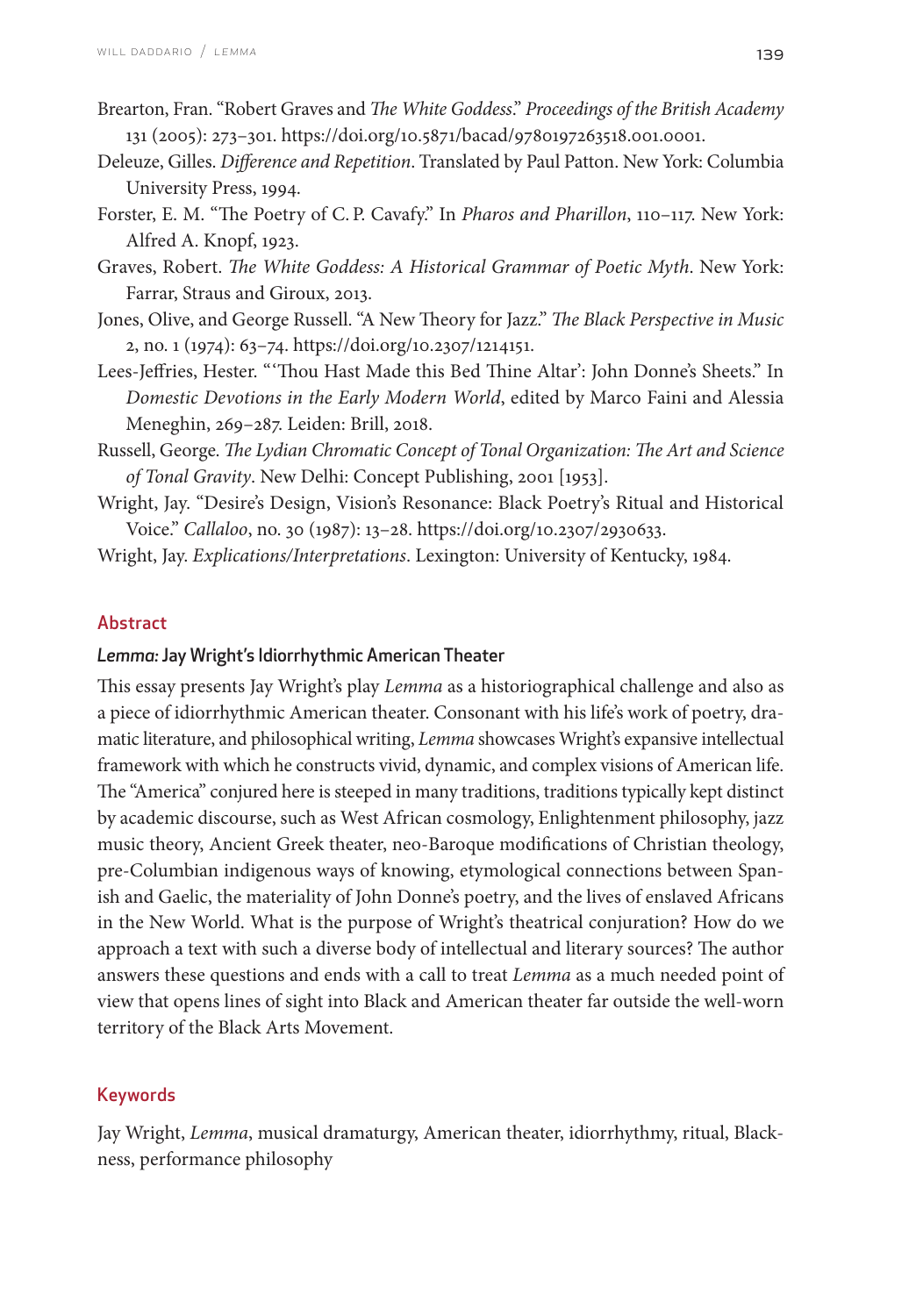- Brearton, Fran. "Robert Graves and *The White Goddess*." *Proceedings of the British Academy* 131 (2005): 273–301. https://doi.org/10.5871/bacad/9780197263518.001.0001.
- Deleuze, Gilles. *Difference and Repetition*. Translated by Paul Patton. New York: Columbia University Press, 1994.
- Forster, E. M. "The Poetry of C. P. Cavafy." In *Pharos and Pharillon*, 110–117. New York: Alfred A. Knopf, 1923.
- Graves, Robert. *The White Goddess: A Historical Grammar of Poetic Myth*. New York: Farrar, Straus and Giroux, 2013.
- Jones, Olive, and George Russell. "A New Theory for Jazz." *The Black Perspective in Music* 2, no. 1 (1974): 63–74. [https://doi.org/10.2307/1214151.](https://doi.org/10.2307/1214151)
- Lees-Jeffries, Hester. "'Thou Hast Made this Bed Thine Altar': John Donne's Sheets." In *Domestic Devotions in the Early Modern World*, edited by Marco Faini and Alessia Meneghin, 269–287. Leiden: Brill, 2018.
- Russell, George. *The Lydian Chromatic Concept of Tonal Organization: The Art and Science of Tonal Gravity*. New Delhi: Concept Publishing, 2001 [1953].
- Wright, Jay. "Desire's Design, Vision's Resonance: Black Poetry's Ritual and Historical Voice." *Callaloo*, no. 30 (1987): 13–28. [https://doi.org/10.2307/2930633.](https://doi.org/10.2307/2930633)

Wright, Jay. *Explications/Interpretations*. Lexington: University of Kentucky, 1984.

## Abstract

## *Lemma:* Jay Wright's Idiorrhythmic American Theater

This essay presents Jay Wright's play *Lemma* as a historiographical challenge and also as a piece of idiorrhythmic American theater. Consonant with his life's work of poetry, dramatic literature, and philosophical writing, *Lemma* showcases Wright's expansive intellectual framework with which he constructs vivid, dynamic, and complex visions of American life. The "America" conjured here is steeped in many traditions, traditions typically kept distinct by academic discourse, such as West African cosmology, Enlightenment philosophy, jazz music theory, Ancient Greek theater, neo-Baroque modifications of Christian theology, pre-Columbian indigenous ways of knowing, etymological connections between Spanish and Gaelic, the materiality of John Donne's poetry, and the lives of enslaved Africans in the New World. What is the purpose of Wright's theatrical conjuration? How do we approach a text with such a diverse body of intellectual and literary sources? The author answers these questions and ends with a call to treat *Lemma* as a much needed point of view that opens lines of sight into Black and American theater far outside the well-worn territory of the Black Arts Movement.

## Keywords

Jay Wright, *Lemma*, musical dramaturgy, American theater, idiorrhythmy, ritual, Blackness, performance philosophy